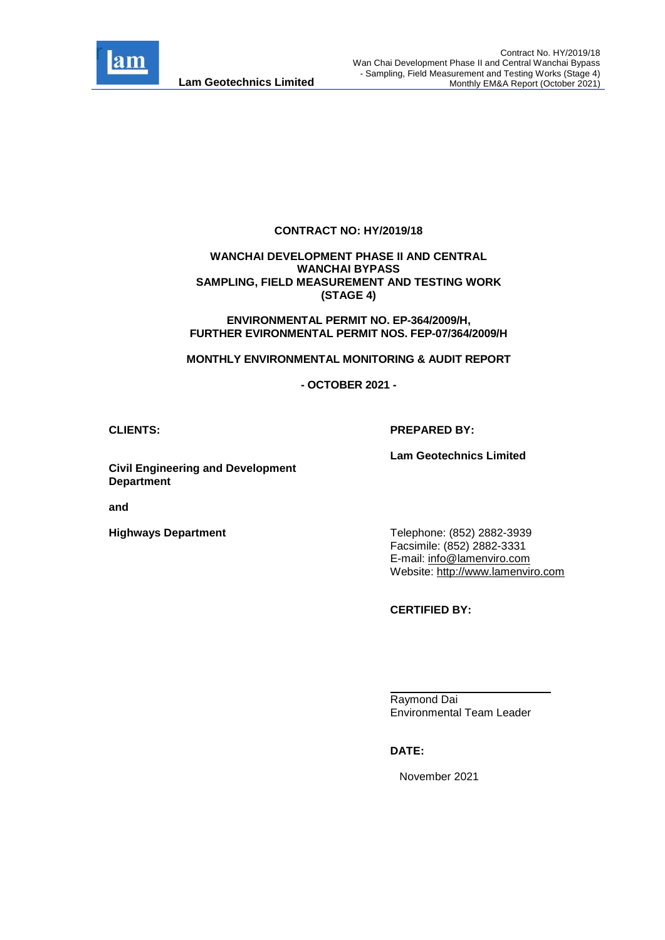

#### **CONTRACT NO: HY/2019/18**

#### **WANCHAI DEVELOPMENT PHASE II AND CENTRAL WANCHAI BYPASS SAMPLING, FIELD MEASUREMENT AND TESTING WORK (STAGE 4)**

**ENVIRONMENTAL PERMIT NO. EP-364/2009/H, FURTHER EVIRONMENTAL PERMIT NOS. FEP-07/364/2009/H**

**MONTHLY ENVIRONMENTAL MONITORING & AUDIT REPORT**

**- OCTOBER 2021 -**

#### **CLIENTS: PREPARED BY:**

**Lam Geotechnics Limited**

**Civil Engineering and Development Department**

**and** 

**Highways Department**

Telephone: (852) 2882-3939 Facsimile: (852) 2882-3331 E-mail: [info@lamenviro.com](mailto:info@lamenviro.com) Website: [http://www.lamenviro.com](http://www.lamenviro.com/)

**CERTIFIED BY:**

Raymond Dai Environmental Team Leader

**DATE:**

November 2021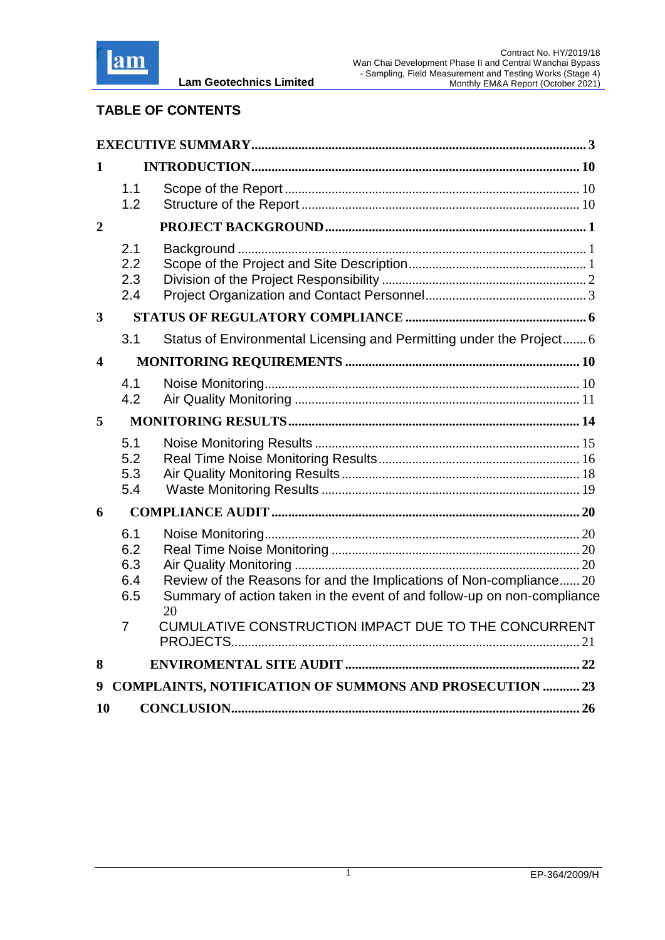

## **TABLE OF CONTENTS**

**Lam Geotechnics Limited**

| 1  |                                 |                                                                                                                                                |  |
|----|---------------------------------|------------------------------------------------------------------------------------------------------------------------------------------------|--|
|    | 1.1<br>1.2                      |                                                                                                                                                |  |
| 2  |                                 |                                                                                                                                                |  |
|    | 2.1<br>2.2<br>2.3<br>2.4        |                                                                                                                                                |  |
| 3  |                                 |                                                                                                                                                |  |
|    | 3.1                             | Status of Environmental Licensing and Permitting under the Project 6                                                                           |  |
| 4  |                                 |                                                                                                                                                |  |
|    | 4.1<br>4.2                      |                                                                                                                                                |  |
| 5  |                                 |                                                                                                                                                |  |
|    | 5.1<br>5.2<br>5.3<br>5.4        |                                                                                                                                                |  |
| 6  |                                 |                                                                                                                                                |  |
|    | 6.1<br>6.2<br>6.3<br>6.4<br>6.5 | Review of the Reasons for and the Implications of Non-compliance 20<br>Summary of action taken in the event of and follow-up on non-compliance |  |
|    | 7                               | 20<br>CUMULATIVE CONSTRUCTION IMPACT DUE TO THE CONCURRENT                                                                                     |  |
| 8  |                                 |                                                                                                                                                |  |
| 9  |                                 | <b>COMPLAINTS, NOTIFICATION OF SUMMONS AND PROSECUTION  23</b>                                                                                 |  |
| 10 |                                 |                                                                                                                                                |  |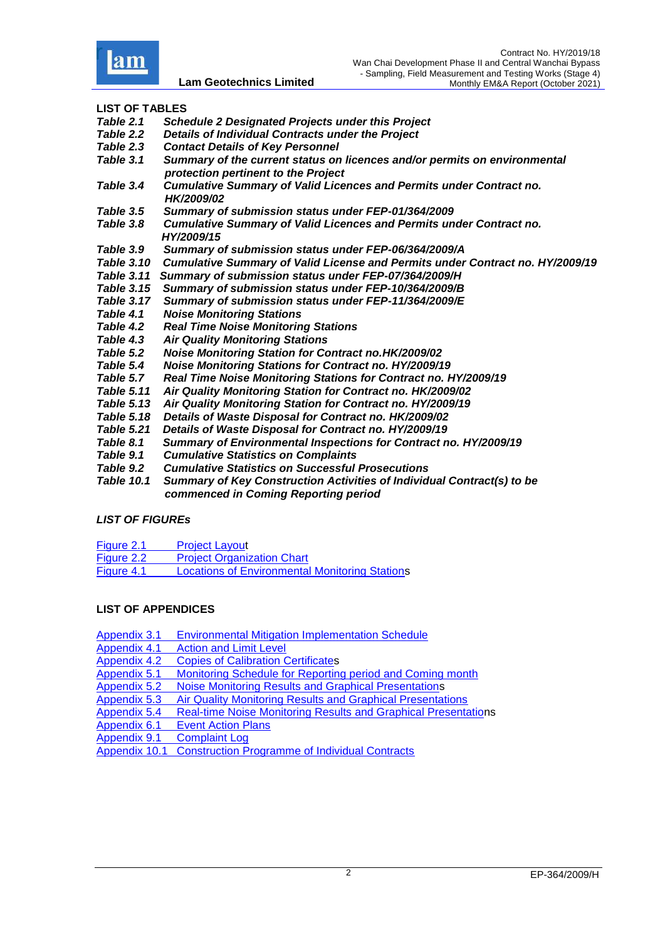

#### **LIST OF TABLES**

- *Table 2.1 Schedule [2 Designated Projects under this Project](#page-13-1)*
- *Table 2.2 [Details of Individual Contracts under the Project](#page-13-2)*
- *Table 2.3 [Contact Details of Key Personnel](#page-14-1)*
- *Table 3.1 [Summary of the current status on licences and/or permits on environmental](#page-17-2)   [protection pertinent to the Project](#page-17-2)*
- *Table 3.4 Cumulative Summary of Valid Licences and Permits under Contract no. HK/2009/02*
- *Table 3.5 Summary of submission status under FEP-01/364/2009*
- *Table 3.8 Cumulative Summary of Valid Licences and Permits under Contract no. HY/2009/15*<br>Table 3.9 Summary o
- *Table 3.9 Summary of submission status under FEP-06/364/2009/A*
- *[Table 3.10 Cumulative Summary of Valid License and Permits under Contract no. HY/2009/19](#page-19-0)*
- *Table 3.11 Summary of submission status under FEP-07/364/2009/H*
- *Table 3.15 Summary of submission status under FEP-10/364/2009/B*
- *Table 3.17 Summary of submission status under FEP-11/364/2009/E*
- *Table 4.1 [Noise Monitoring Stations](#page-21-2)*
- *Table 4.2 [Real Time Noise Monitoring Stations](#page-21-3)*
- *Table 4.3 [Air Quality Monitoring Stations](#page-23-0)*
- *Table 5.2 Noise Monitoring Station for Contract no.HK/2009/02*
- *Table 5.4 [Noise Monitoring Stations for Contract no. HY/2009/19](#page-26-1)*
- *Table 5.7 [Real Time Noise Monitoring Stations for Contract no. HY/2009/19](#page-27-1)*
- *Table 5.11 Air Quality Monitoring Station for Contract no. HK/2009/02*
- *[Table 5.13 Air Quality Monitoring Station for Contract no. HY/2009/19](#page-29-1)*
- *Table 5.18 Details of Waste Disposal for Contract no. HK/2009/02*
- *[Table 5.21 Details of Waste Disposal for Contract no. HY/2009/19](#page-30-1)*
- *[Table 8.1 Summary of Environmental Inspections for Contract no. HY/2009/19](#page-33-1)*
- *Table 9.1 [Cumulative Statistics on Complaints](#page-35-0)*
- *Table 9.2 [Cumulative Statistics on Successful Prosecutions](#page-35-1)*
- *Table 10.1 [Summary of Key Construction Activities of Individual Contract\(s\) to be](#page-37-1)   [commenced in Coming Reporting period](#page-37-1)*

#### *LIST OF FIGUREs*

| Figure 2.1        | <b>Project Layout</b>                                 |
|-------------------|-------------------------------------------------------|
| Figure 2.2        | <b>Project Organization Chart</b>                     |
| <b>Figure 4.1</b> | <b>Locations of Environmental Monitoring Stations</b> |

#### **LIST OF APPENDICES**

| <b>Appendix 3.1</b> | <b>Environmental Mitigation Implementation Schedule</b>               |
|---------------------|-----------------------------------------------------------------------|
| <b>Appendix 4.1</b> | <b>Action and Limit Level</b>                                         |
| <b>Appendix 4.2</b> | <b>Copies of Calibration Certificates</b>                             |
| Appendix 5.1        | Monitoring Schedule for Reporting period and Coming month             |
| <b>Appendix 5.2</b> | Noise Monitoring Results and Graphical Presentations                  |
| Appendix 5.3        | Air Quality Monitoring Results and Graphical Presentations            |
| Appendix 5.4        | <b>Real-time Noise Monitoring Results and Graphical Presentations</b> |
| Appendix 6.1        | <b>Event Action Plans</b>                                             |
| <b>Appendix 9.1</b> | <b>Complaint Log</b>                                                  |
| Appendix 10.1       | <b>Construction Programme of Individual Contracts</b>                 |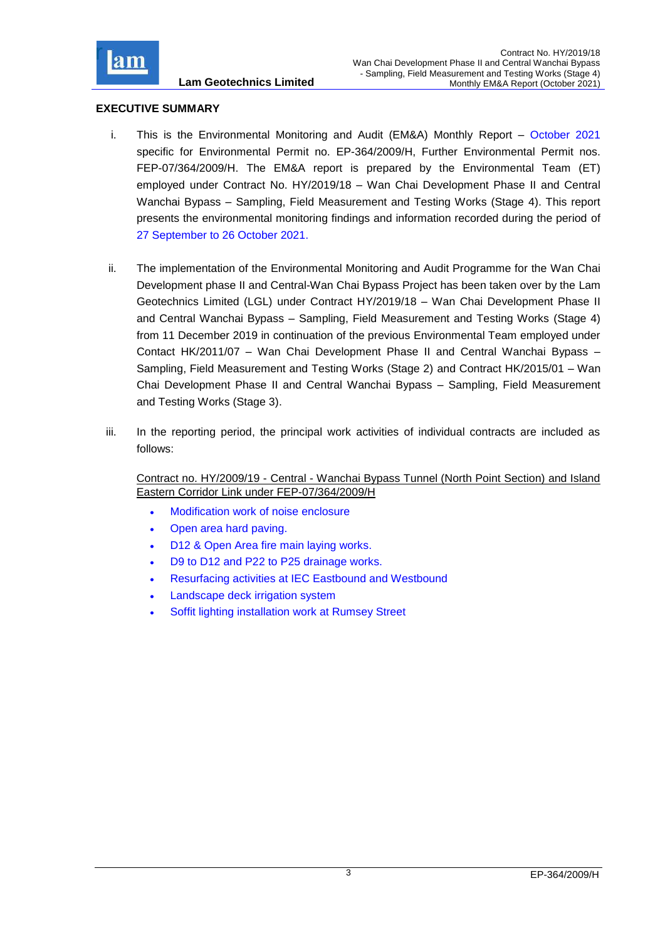

## <span id="page-3-0"></span>**EXECUTIVE SUMMARY**

- i. This is the Environmental Monitoring and Audit (EM&A) Monthly Report October 2021 specific for Environmental Permit no. EP-364/2009/H, Further Environmental Permit nos. FEP-07/364/2009/H. The EM&A report is prepared by the Environmental Team (ET) employed under Contract No. HY/2019/18 – Wan Chai Development Phase II and Central Wanchai Bypass – Sampling, Field Measurement and Testing Works (Stage 4). This report presents the environmental monitoring findings and information recorded during the period of 27 September to 26 October 2021.
- ii. The implementation of the Environmental Monitoring and Audit Programme for the Wan Chai Development phase II and Central-Wan Chai Bypass Project has been taken over by the Lam Geotechnics Limited (LGL) under Contract HY/2019/18 – Wan Chai Development Phase II and Central Wanchai Bypass – Sampling, Field Measurement and Testing Works (Stage 4) from 11 December 2019 in continuation of the previous Environmental Team employed under Contact HK/2011/07 – Wan Chai Development Phase II and Central Wanchai Bypass – Sampling, Field Measurement and Testing Works (Stage 2) and Contract HK/2015/01 – Wan Chai Development Phase II and Central Wanchai Bypass – Sampling, Field Measurement and Testing Works (Stage 3).
- iii. In the reporting period, the principal work activities of individual contracts are included as follows:

Contract no. HY/2009/19 - Central - Wanchai Bypass Tunnel (North Point Section) and Island Eastern Corridor Link under FEP-07/364/2009/H

- Modification work of noise enclosure
- Open area hard paving.
- D12 & Open Area fire main laying works.
- D9 to D12 and P22 to P25 drainage works.
- Resurfacing activities at IEC Eastbound and Westbound
- Landscape deck irrigation system
- Soffit lighting installation work at Rumsey Street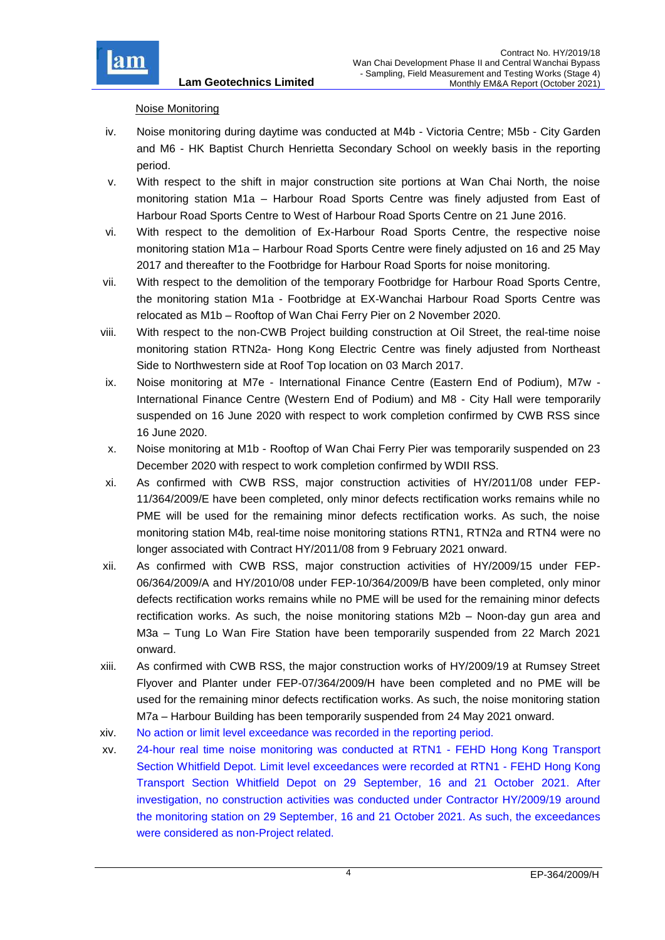

## Noise Monitoring

- iv. Noise monitoring during daytime was conducted at M4b Victoria Centre; M5b City Garden and M6 - HK Baptist Church Henrietta Secondary School on weekly basis in the reporting period.
- v. With respect to the shift in major construction site portions at Wan Chai North, the noise monitoring station M1a – Harbour Road Sports Centre was finely adjusted from East of Harbour Road Sports Centre to West of Harbour Road Sports Centre on 21 June 2016.
- vi. With respect to the demolition of Ex-Harbour Road Sports Centre, the respective noise monitoring station M1a – Harbour Road Sports Centre were finely adjusted on 16 and 25 May 2017 and thereafter to the Footbridge for Harbour Road Sports for noise monitoring.
- vii. With respect to the demolition of the temporary Footbridge for Harbour Road Sports Centre, the monitoring station M1a - Footbridge at EX-Wanchai Harbour Road Sports Centre was relocated as M1b – Rooftop of Wan Chai Ferry Pier on 2 November 2020.
- viii. With respect to the non-CWB Project building construction at Oil Street, the real-time noise monitoring station RTN2a- Hong Kong Electric Centre was finely adjusted from Northeast Side to Northwestern side at Roof Top location on 03 March 2017.
- ix. Noise monitoring at M7e International Finance Centre (Eastern End of Podium), M7w International Finance Centre (Western End of Podium) and M8 - City Hall were temporarily suspended on 16 June 2020 with respect to work completion confirmed by CWB RSS since 16 June 2020.
- x. Noise monitoring at M1b Rooftop of Wan Chai Ferry Pier was temporarily suspended on 23 December 2020 with respect to work completion confirmed by WDII RSS.
- xi. As confirmed with CWB RSS, major construction activities of HY/2011/08 under FEP-11/364/2009/E have been completed, only minor defects rectification works remains while no PME will be used for the remaining minor defects rectification works. As such, the noise monitoring station M4b, real-time noise monitoring stations RTN1, RTN2a and RTN4 were no longer associated with Contract HY/2011/08 from 9 February 2021 onward.
- xii. As confirmed with CWB RSS, major construction activities of HY/2009/15 under FEP-06/364/2009/A and HY/2010/08 under FEP-10/364/2009/B have been completed, only minor defects rectification works remains while no PME will be used for the remaining minor defects rectification works. As such, the noise monitoring stations M2b – Noon-day gun area and M3a – Tung Lo Wan Fire Station have been temporarily suspended from 22 March 2021 onward.
- xiii. As confirmed with CWB RSS, the major construction works of HY/2009/19 at Rumsey Street Flyover and Planter under FEP-07/364/2009/H have been completed and no PME will be used for the remaining minor defects rectification works. As such, the noise monitoring station M7a – Harbour Building has been temporarily suspended from 24 May 2021 onward.
- xiv. No action or limit level exceedance was recorded in the reporting period.
- xv. 24-hour real time noise monitoring was conducted at RTN1 FEHD Hong Kong Transport Section Whitfield Depot. Limit level exceedances were recorded at RTN1 - FEHD Hong Kong Transport Section Whitfield Depot on 29 September, 16 and 21 October 2021. After investigation, no construction activities was conducted under Contractor HY/2009/19 around the monitoring station on 29 September, 16 and 21 October 2021. As such, the exceedances were considered as non-Project related.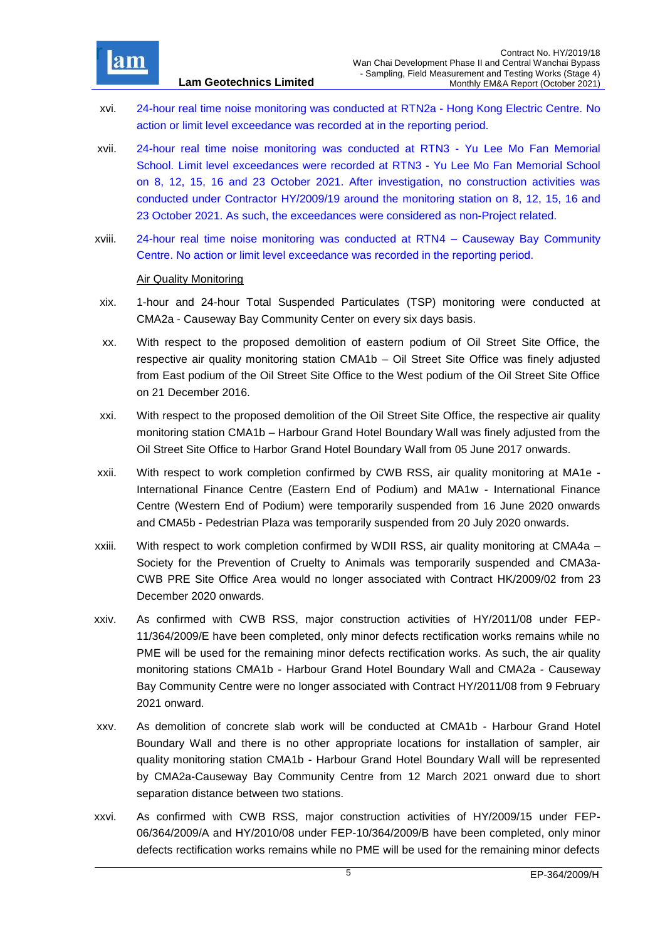

- xvi. 24-hour real time noise monitoring was conducted at RTN2a Hong Kong Electric Centre. No action or limit level exceedance was recorded at in the reporting period.
- xvii. 24-hour real time noise monitoring was conducted at RTN3 Yu Lee Mo Fan Memorial School. Limit level exceedances were recorded at RTN3 - Yu Lee Mo Fan Memorial School on 8, 12, 15, 16 and 23 October 2021. After investigation, no construction activities was conducted under Contractor HY/2009/19 around the monitoring station on 8, 12, 15, 16 and 23 October 2021. As such, the exceedances were considered as non-Project related.
- xviii. 24-hour real time noise monitoring was conducted at RTN4 Causeway Bay Community Centre. No action or limit level exceedance was recorded in the reporting period.

#### Air Quality Monitoring

- xix. 1-hour and 24-hour Total Suspended Particulates (TSP) monitoring were conducted at CMA2a - Causeway Bay Community Center on every six days basis.
- xx. With respect to the proposed demolition of eastern podium of Oil Street Site Office, the respective air quality monitoring station CMA1b – Oil Street Site Office was finely adjusted from East podium of the Oil Street Site Office to the West podium of the Oil Street Site Office on 21 December 2016.
- xxi. With respect to the proposed demolition of the Oil Street Site Office, the respective air quality monitoring station CMA1b – Harbour Grand Hotel Boundary Wall was finely adjusted from the Oil Street Site Office to Harbor Grand Hotel Boundary Wall from 05 June 2017 onwards.
- xxii. With respect to work completion confirmed by CWB RSS, air quality monitoring at MA1e International Finance Centre (Eastern End of Podium) and MA1w - International Finance Centre (Western End of Podium) were temporarily suspended from 16 June 2020 onwards and CMA5b - Pedestrian Plaza was temporarily suspended from 20 July 2020 onwards.
- xxiii. With respect to work completion confirmed by WDII RSS, air quality monitoring at CMA4a Society for the Prevention of Cruelty to Animals was temporarily suspended and CMA3a-CWB PRE Site Office Area would no longer associated with Contract HK/2009/02 from 23 December 2020 onwards.
- xxiv. As confirmed with CWB RSS, major construction activities of HY/2011/08 under FEP-11/364/2009/E have been completed, only minor defects rectification works remains while no PME will be used for the remaining minor defects rectification works. As such, the air quality monitoring stations CMA1b - Harbour Grand Hotel Boundary Wall and CMA2a - Causeway Bay Community Centre were no longer associated with Contract HY/2011/08 from 9 February 2021 onward.
- xxv. As demolition of concrete slab work will be conducted at CMA1b Harbour Grand Hotel Boundary Wall and there is no other appropriate locations for installation of sampler, air quality monitoring station CMA1b - Harbour Grand Hotel Boundary Wall will be represented by CMA2a-Causeway Bay Community Centre from 12 March 2021 onward due to short separation distance between two stations.
- xxvi. As confirmed with CWB RSS, major construction activities of HY/2009/15 under FEP-06/364/2009/A and HY/2010/08 under FEP-10/364/2009/B have been completed, only minor defects rectification works remains while no PME will be used for the remaining minor defects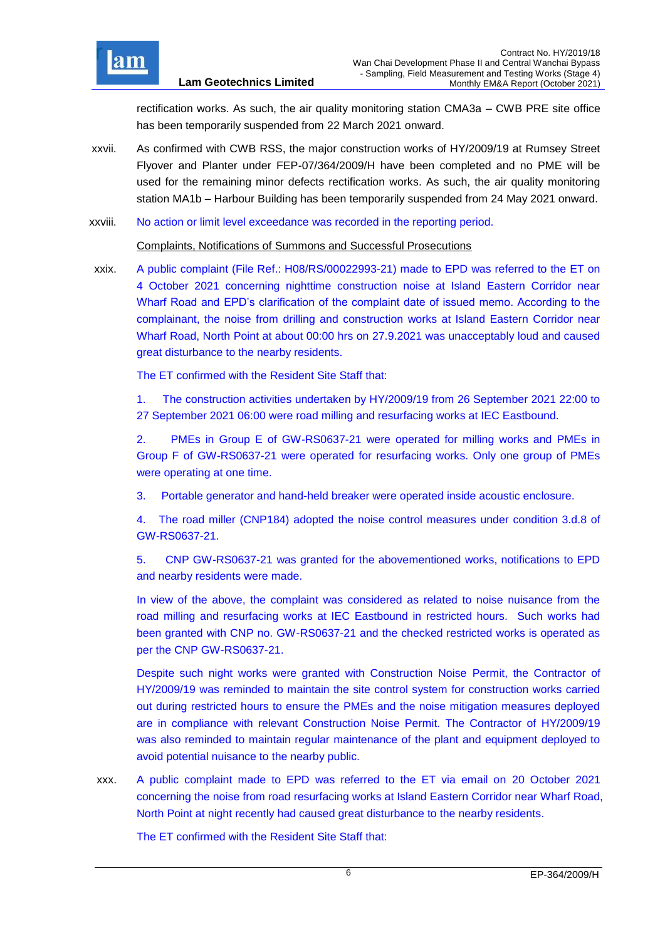

rectification works. As such, the air quality monitoring station CMA3a – CWB PRE site office has been temporarily suspended from 22 March 2021 onward.

- xxvii. As confirmed with CWB RSS, the major construction works of HY/2009/19 at Rumsey Street Flyover and Planter under FEP-07/364/2009/H have been completed and no PME will be used for the remaining minor defects rectification works. As such, the air quality monitoring station MA1b – Harbour Building has been temporarily suspended from 24 May 2021 onward.
- xxviii. No action or limit level exceedance was recorded in the reporting period.

Complaints, Notifications of Summons and Successful Prosecutions

xxix. A public complaint (File Ref.: H08/RS/00022993-21) made to EPD was referred to the ET on 4 October 2021 concerning nighttime construction noise at Island Eastern Corridor near Wharf Road and EPD's clarification of the complaint date of issued memo. According to the complainant, the noise from drilling and construction works at Island Eastern Corridor near Wharf Road, North Point at about 00:00 hrs on 27.9.2021 was unacceptably loud and caused great disturbance to the nearby residents.

The ET confirmed with the Resident Site Staff that:

1. The construction activities undertaken by HY/2009/19 from 26 September 2021 22:00 to 27 September 2021 06:00 were road milling and resurfacing works at IEC Eastbound.

2. PMEs in Group E of GW-RS0637-21 were operated for milling works and PMEs in Group F of GW-RS0637-21 were operated for resurfacing works. Only one group of PMEs were operating at one time.

3. Portable generator and hand-held breaker were operated inside acoustic enclosure.

4. The road miller (CNP184) adopted the noise control measures under condition 3.d.8 of GW-RS0637-21.

5. CNP GW-RS0637-21 was granted for the abovementioned works, notifications to EPD and nearby residents were made.

In view of the above, the complaint was considered as related to noise nuisance from the road milling and resurfacing works at IEC Eastbound in restricted hours. Such works had been granted with CNP no. GW-RS0637-21 and the checked restricted works is operated as per the CNP GW-RS0637-21.

Despite such night works were granted with Construction Noise Permit, the Contractor of HY/2009/19 was reminded to maintain the site control system for construction works carried out during restricted hours to ensure the PMEs and the noise mitigation measures deployed are in compliance with relevant Construction Noise Permit. The Contractor of HY/2009/19 was also reminded to maintain regular maintenance of the plant and equipment deployed to avoid potential nuisance to the nearby public.

xxx. A public complaint made to EPD was referred to the ET via email on 20 October 2021 concerning the noise from road resurfacing works at Island Eastern Corridor near Wharf Road, North Point at night recently had caused great disturbance to the nearby residents.

The ET confirmed with the Resident Site Staff that: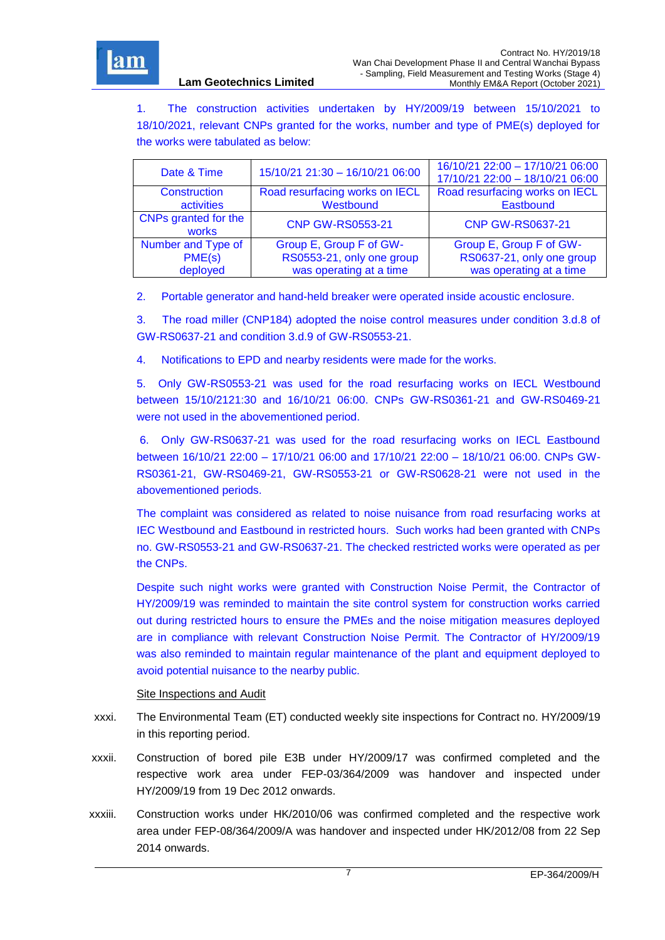

1. The construction activities undertaken by HY/2009/19 between 15/10/2021 to 18/10/2021, relevant CNPs granted for the works, number and type of PME(s) deployed for the works were tabulated as below:

| Date & Time                   | 15/10/21 21:30 - 16/10/21 06:00 | 16/10/21 22:00 - 17/10/21 06:00<br>17/10/21 22:00 - 18/10/21 06:00 |
|-------------------------------|---------------------------------|--------------------------------------------------------------------|
| Construction                  | Road resurfacing works on IECL  | Road resurfacing works on IECL                                     |
| activities                    | Westbound                       | Eastbound                                                          |
| CNPs granted for the<br>works | <b>CNP GW-RS0553-21</b>         | <b>CNP GW-RS0637-21</b>                                            |
| Number and Type of            | Group E, Group F of GW-         | Group E, Group F of GW-                                            |
| PME(s)                        | RS0553-21, only one group       | RS0637-21, only one group                                          |
| deployed                      | was operating at a time         | was operating at a time                                            |

2. Portable generator and hand-held breaker were operated inside acoustic enclosure.

3. The road miller (CNP184) adopted the noise control measures under condition 3.d.8 of GW-RS0637-21 and condition 3.d.9 of GW-RS0553-21.

4. Notifications to EPD and nearby residents were made for the works.

5. Only GW-RS0553-21 was used for the road resurfacing works on IECL Westbound between 15/10/2121:30 and 16/10/21 06:00. CNPs GW-RS0361-21 and GW-RS0469-21 were not used in the abovementioned period.

6. Only GW-RS0637-21 was used for the road resurfacing works on IECL Eastbound between 16/10/21 22:00 – 17/10/21 06:00 and 17/10/21 22:00 – 18/10/21 06:00. CNPs GW-RS0361-21, GW-RS0469-21, GW-RS0553-21 or GW-RS0628-21 were not used in the abovementioned periods.

The complaint was considered as related to noise nuisance from road resurfacing works at IEC Westbound and Eastbound in restricted hours. Such works had been granted with CNPs no. GW-RS0553-21 and GW-RS0637-21. The checked restricted works were operated as per the CNPs.

Despite such night works were granted with Construction Noise Permit, the Contractor of HY/2009/19 was reminded to maintain the site control system for construction works carried out during restricted hours to ensure the PMEs and the noise mitigation measures deployed are in compliance with relevant Construction Noise Permit. The Contractor of HY/2009/19 was also reminded to maintain regular maintenance of the plant and equipment deployed to avoid potential nuisance to the nearby public.

#### Site Inspections and Audit

- xxxi. The Environmental Team (ET) conducted weekly site inspections for Contract no. HY/2009/19 in this reporting period.
- xxxii. Construction of bored pile E3B under HY/2009/17 was confirmed completed and the respective work area under FEP-03/364/2009 was handover and inspected under HY/2009/19 from 19 Dec 2012 onwards.
- xxxiii. Construction works under HK/2010/06 was confirmed completed and the respective work area under FEP-08/364/2009/A was handover and inspected under HK/2012/08 from 22 Sep 2014 onwards.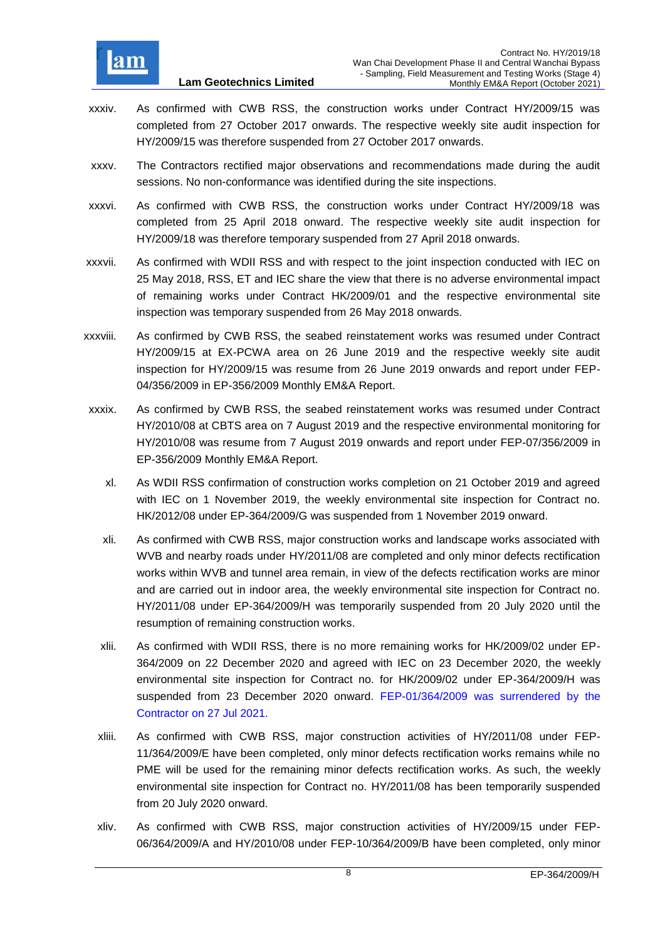

- xxxiv. As confirmed with CWB RSS, the construction works under Contract HY/2009/15 was completed from 27 October 2017 onwards. The respective weekly site audit inspection for HY/2009/15 was therefore suspended from 27 October 2017 onwards.
- xxxv. The Contractors rectified major observations and recommendations made during the audit sessions. No non-conformance was identified during the site inspections.
- xxxvi. As confirmed with CWB RSS, the construction works under Contract HY/2009/18 was completed from 25 April 2018 onward. The respective weekly site audit inspection for HY/2009/18 was therefore temporary suspended from 27 April 2018 onwards.
- xxxvii. As confirmed with WDII RSS and with respect to the joint inspection conducted with IEC on 25 May 2018, RSS, ET and IEC share the view that there is no adverse environmental impact of remaining works under Contract HK/2009/01 and the respective environmental site inspection was temporary suspended from 26 May 2018 onwards.
- xxxviii. As confirmed by CWB RSS, the seabed reinstatement works was resumed under Contract HY/2009/15 at EX-PCWA area on 26 June 2019 and the respective weekly site audit inspection for HY/2009/15 was resume from 26 June 2019 onwards and report under FEP-04/356/2009 in EP-356/2009 Monthly EM&A Report.
- xxxix. As confirmed by CWB RSS, the seabed reinstatement works was resumed under Contract HY/2010/08 at CBTS area on 7 August 2019 and the respective environmental monitoring for HY/2010/08 was resume from 7 August 2019 onwards and report under FEP-07/356/2009 in EP-356/2009 Monthly EM&A Report.
	- xl. As WDII RSS confirmation of construction works completion on 21 October 2019 and agreed with IEC on 1 November 2019, the weekly environmental site inspection for Contract no. HK/2012/08 under EP-364/2009/G was suspended from 1 November 2019 onward.
	- xli. As confirmed with CWB RSS, major construction works and landscape works associated with WVB and nearby roads under HY/2011/08 are completed and only minor defects rectification works within WVB and tunnel area remain, in view of the defects rectification works are minor and are carried out in indoor area, the weekly environmental site inspection for Contract no. HY/2011/08 under EP-364/2009/H was temporarily suspended from 20 July 2020 until the resumption of remaining construction works.
	- xlii. As confirmed with WDII RSS, there is no more remaining works for HK/2009/02 under EP-364/2009 on 22 December 2020 and agreed with IEC on 23 December 2020, the weekly environmental site inspection for Contract no. for HK/2009/02 under EP-364/2009/H was suspended from 23 December 2020 onward. FEP-01/364/2009 was surrendered by the Contractor on 27 Jul 2021.
	- xliii. As confirmed with CWB RSS, major construction activities of HY/2011/08 under FEP-11/364/2009/E have been completed, only minor defects rectification works remains while no PME will be used for the remaining minor defects rectification works. As such, the weekly environmental site inspection for Contract no. HY/2011/08 has been temporarily suspended from 20 July 2020 onward.
	- xliv. As confirmed with CWB RSS, major construction activities of HY/2009/15 under FEP-06/364/2009/A and HY/2010/08 under FEP-10/364/2009/B have been completed, only minor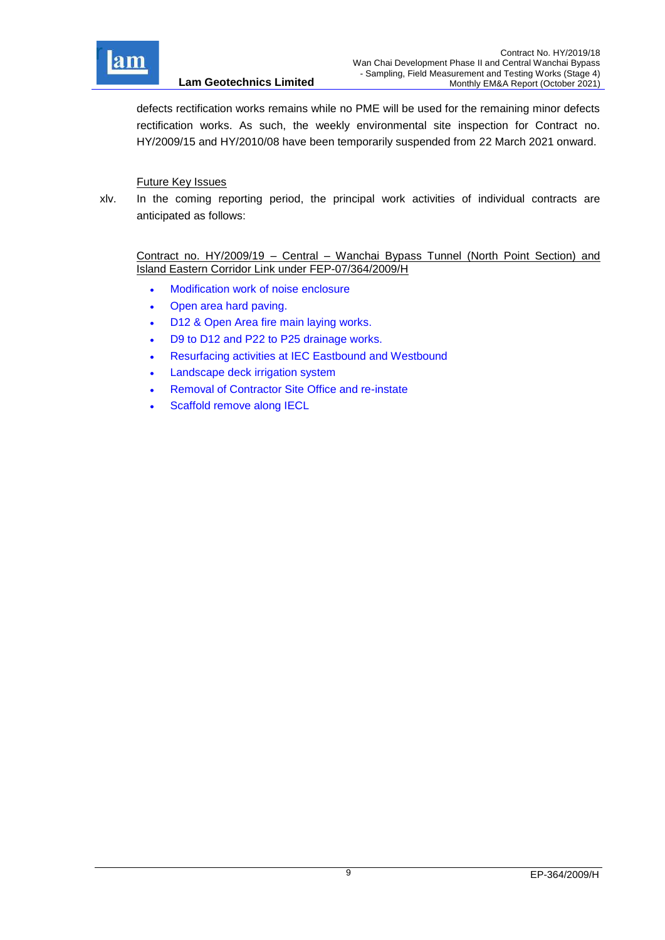

defects rectification works remains while no PME will be used for the remaining minor defects rectification works. As such, the weekly environmental site inspection for Contract no. HY/2009/15 and HY/2010/08 have been temporarily suspended from 22 March 2021 onward.

## Future Key Issues

xlv. In the coming reporting period, the principal work activities of individual contracts are anticipated as follows:

Contract no. HY/2009/19 – Central – Wanchai Bypass Tunnel (North Point Section) and Island Eastern Corridor Link under FEP-07/364/2009/H

- Modification work of noise enclosure
- Open area hard paving.
- D12 & Open Area fire main laying works.
- D9 to D12 and P22 to P25 drainage works.
- Resurfacing activities at IEC Eastbound and Westbound
- Landscape deck irrigation system
- Removal of Contractor Site Office and re-instate
- Scaffold remove along IECL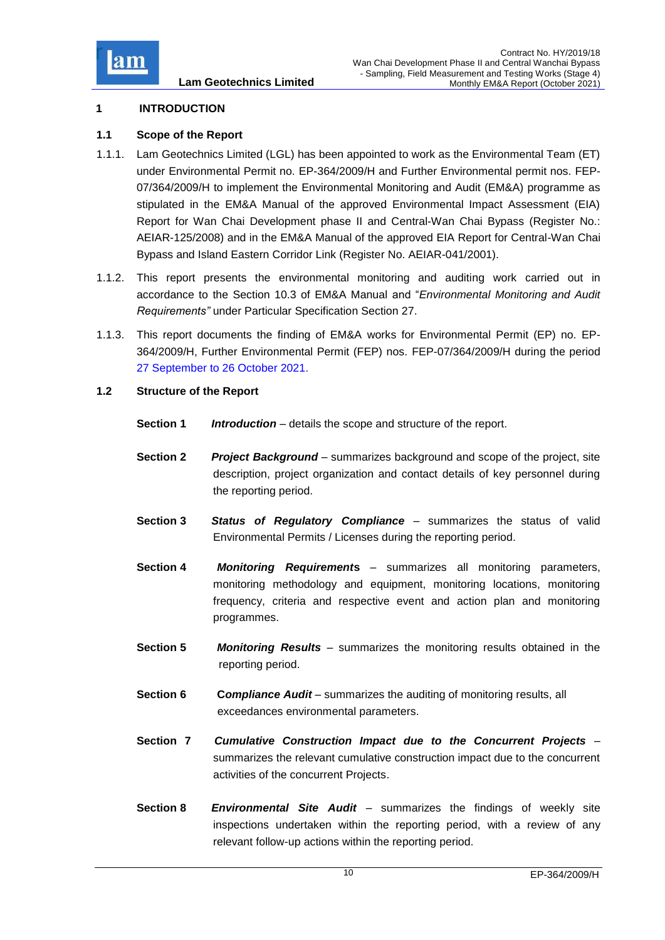

## <span id="page-10-0"></span>**1 INTRODUCTION**

### <span id="page-10-1"></span>**1.1 Scope of the Report**

- 1.1.1. Lam Geotechnics Limited (LGL) has been appointed to work as the Environmental Team (ET) under Environmental Permit no. EP-364/2009/H and Further Environmental permit nos. FEP-07/364/2009/H to implement the Environmental Monitoring and Audit (EM&A) programme as stipulated in the EM&A Manual of the approved Environmental Impact Assessment (EIA) Report for Wan Chai Development phase II and Central-Wan Chai Bypass (Register No.: AEIAR-125/2008) and in the EM&A Manual of the approved EIA Report for Central-Wan Chai Bypass and Island Eastern Corridor Link (Register No. AEIAR-041/2001).
- 1.1.2. This report presents the environmental monitoring and auditing work carried out in accordance to the Section 10.3 of EM&A Manual and "*Environmental Monitoring and Audit Requirements"* under Particular Specification Section 27.
- 1.1.3. This report documents the finding of EM&A works for Environmental Permit (EP) no. EP-364/2009/H, Further Environmental Permit (FEP) nos. FEP-07/364/2009/H during the period 27 September to 26 October 2021.

### <span id="page-10-2"></span>**1.2 Structure of the Report**

- **Section 1** *Introduction* details the scope and structure of the report.
- **Section 2** *Project Background* summarizes background and scope of the project, site description, project organization and contact details of key personnel during the reporting period.
- **Section 3** *Status of Regulatory Compliance* summarizes the status of valid Environmental Permits / Licenses during the reporting period.
- **Section 4** *Monitoring Requirement***s** summarizes all monitoring parameters, monitoring methodology and equipment, monitoring locations, monitoring frequency, criteria and respective event and action plan and monitoring programmes.
- **Section 5** *Monitoring Results* summarizes the monitoring results obtained in the reporting period.
- **Section 6 C***ompliance Audit* summarizes the auditing of monitoring results, all exceedances environmental parameters.
- **Section 7** *Cumulative Construction Impact due to the Concurrent Projects*  summarizes the relevant cumulative construction impact due to the concurrent activities of the concurrent Projects.
- **Section 8** *Environmental Site Audit* summarizes the findings of weekly site inspections undertaken within the reporting period, with a review of any relevant follow-up actions within the reporting period.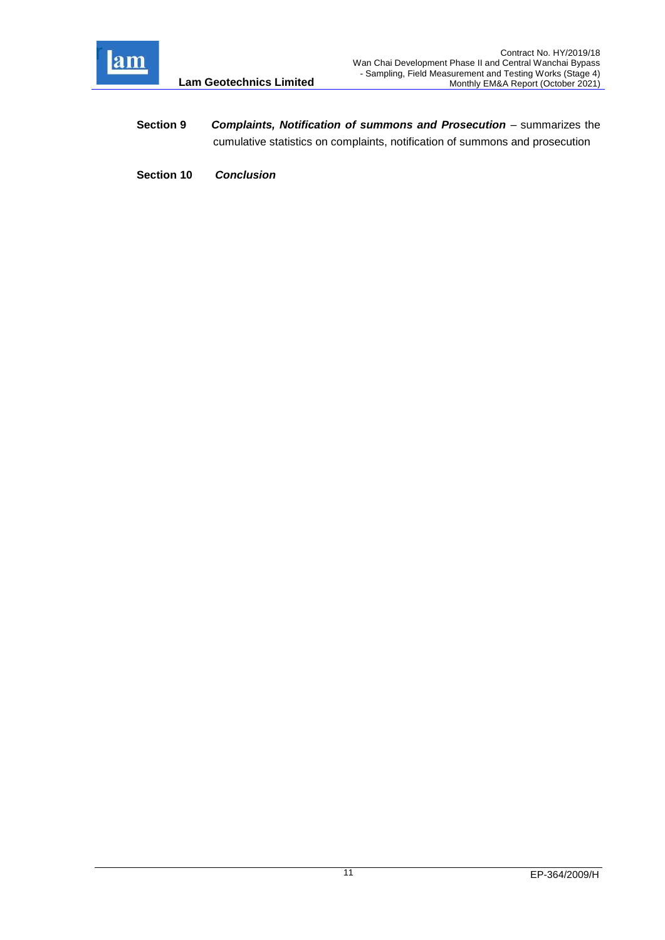

- **Section 9** *Complaints, Notification of summons and Prosecution summarizes the* cumulative statistics on complaints, notification of summons and prosecution
- **Section 10** *Conclusion*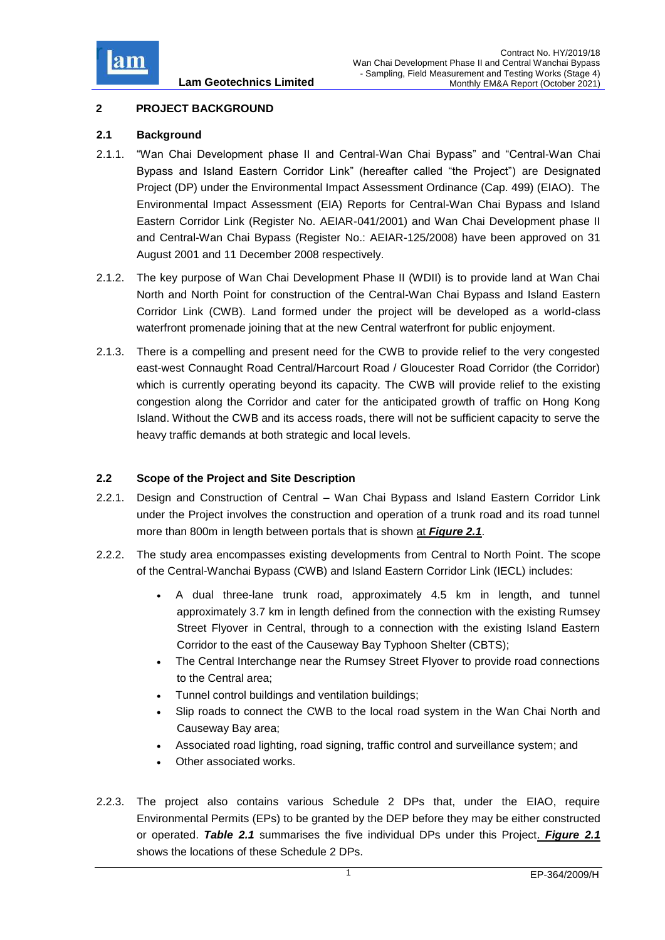

## <span id="page-12-0"></span>**2 PROJECT BACKGROUND**

## <span id="page-12-1"></span>**2.1 Background**

- 2.1.1. "Wan Chai Development phase II and Central-Wan Chai Bypass" and "Central-Wan Chai Bypass and Island Eastern Corridor Link" (hereafter called "the Project") are Designated Project (DP) under the Environmental Impact Assessment Ordinance (Cap. 499) (EIAO). The Environmental Impact Assessment (EIA) Reports for Central-Wan Chai Bypass and Island Eastern Corridor Link (Register No. AEIAR-041/2001) and Wan Chai Development phase II and Central-Wan Chai Bypass (Register No.: AEIAR-125/2008) have been approved on 31 August 2001 and 11 December 2008 respectively.
- 2.1.2. The key purpose of Wan Chai Development Phase II (WDII) is to provide land at Wan Chai North and North Point for construction of the Central-Wan Chai Bypass and Island Eastern Corridor Link (CWB). Land formed under the project will be developed as a world-class waterfront promenade joining that at the new Central waterfront for public enjoyment.
- 2.1.3. There is a compelling and present need for the CWB to provide relief to the very congested east-west Connaught Road Central/Harcourt Road / Gloucester Road Corridor (the Corridor) which is currently operating beyond its capacity. The CWB will provide relief to the existing congestion along the Corridor and cater for the anticipated growth of traffic on Hong Kong Island. Without the CWB and its access roads, there will not be sufficient capacity to serve the heavy traffic demands at both strategic and local levels.

## <span id="page-12-2"></span>**2.2 Scope of the Project and Site Description**

- 2.2.1. Design and Construction of Central Wan Chai Bypass and Island Eastern Corridor Link under the Project involves the construction and operation of a trunk road and its road tunnel more than 800m in length between portals that is shown at *[Figure 2.1](file:///C:/Users/porsia/Attachment/Fig2.1_Project%20Layout.pdf)*.
- 2.2.2. The study area encompasses existing developments from Central to North Point. The scope of the Central-Wanchai Bypass (CWB) and Island Eastern Corridor Link (IECL) includes:
	- A dual three-lane trunk road, approximately 4.5 km in length, and tunnel approximately 3.7 km in length defined from the connection with the existing Rumsey Street Flyover in Central, through to a connection with the existing Island Eastern Corridor to the east of the Causeway Bay Typhoon Shelter (CBTS);
	- The Central Interchange near the Rumsey Street Flyover to provide road connections to the Central area;
	- Tunnel control buildings and ventilation buildings;
	- Slip roads to connect the CWB to the local road system in the Wan Chai North and Causeway Bay area;
	- Associated road lighting, road signing, traffic control and surveillance system; and
	- Other associated works.
- 2.2.3. The project also contains various Schedule 2 DPs that, under the EIAO, require Environmental Permits (EPs) to be granted by the DEP before they may be either constructed or operated. *Table 2.1* summarises the five individual DPs under this Project. *[Figure 2.1](file:///C:/Users/porsia/Attachment/Fig2.1_Project%20Layout.pdf)* shows the locations of these Schedule 2 DPs.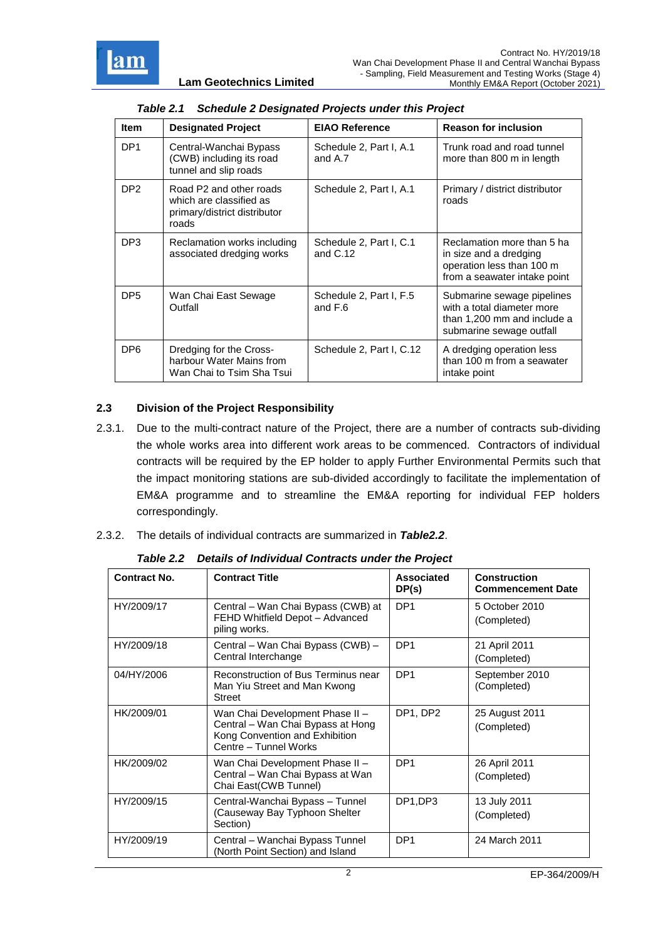

<span id="page-13-1"></span>

| <b>Item</b>     | <b>Designated Project</b>                                                                   | <b>EIAO Reference</b>                 | <b>Reason for inclusion</b>                                                                                         |  |  |  |  |
|-----------------|---------------------------------------------------------------------------------------------|---------------------------------------|---------------------------------------------------------------------------------------------------------------------|--|--|--|--|
| DP <sub>1</sub> | Central-Wanchai Bypass<br>(CWB) including its road<br>tunnel and slip roads                 | Schedule 2, Part I, A.1<br>and A.7    | Trunk road and road tunnel<br>more than 800 m in length                                                             |  |  |  |  |
| DP <sub>2</sub> | Road P2 and other roads<br>which are classified as<br>primary/district distributor<br>roads | Schedule 2, Part I, A.1               | Primary / district distributor<br>roads                                                                             |  |  |  |  |
| DP <sub>3</sub> | Reclamation works including<br>associated dredging works                                    | Schedule 2, Part I, C.1<br>and $C.12$ | Reclamation more than 5 ha<br>in size and a dredging<br>operation less than 100 m<br>from a seawater intake point   |  |  |  |  |
| DP <sub>5</sub> | Wan Chai East Sewage<br>Outfall                                                             | Schedule 2, Part I, F.5<br>and F.6    | Submarine sewage pipelines<br>with a total diameter more<br>than 1,200 mm and include a<br>submarine sewage outfall |  |  |  |  |
| DP <sub>6</sub> | Dredging for the Cross-<br>harbour Water Mains from<br>Wan Chai to Tsim Sha Tsui            | Schedule 2, Part I, C.12              | A dredging operation less<br>than 100 m from a seawater<br>intake point                                             |  |  |  |  |

|  | Table 2.1 Schedule 2 Designated Projects under this Project |
|--|-------------------------------------------------------------|

## <span id="page-13-0"></span>**2.3 Division of the Project Responsibility**

- 2.3.1. Due to the multi-contract nature of the Project, there are a number of contracts sub-dividing the whole works area into different work areas to be commenced. Contractors of individual contracts will be required by the EP holder to apply Further Environmental Permits such that the impact monitoring stations are sub-divided accordingly to facilitate the implementation of EM&A programme and to streamline the EM&A reporting for individual FEP holders correspondingly.
- 2.3.2. The details of individual contracts are summarized in *Table2.2*.

<span id="page-13-2"></span>

| Contract No. | <b>Contract Title</b>                                                                                                           | Associated<br>DP(s) | <b>Construction</b><br><b>Commencement Date</b> |
|--------------|---------------------------------------------------------------------------------------------------------------------------------|---------------------|-------------------------------------------------|
| HY/2009/17   | Central – Wan Chai Bypass (CWB) at<br>FEHD Whitfield Depot - Advanced<br>piling works.                                          |                     | 5 October 2010<br>(Completed)                   |
| HY/2009/18   | Central - Wan Chai Bypass (CWB) -<br>Central Interchange                                                                        | DP <sub>1</sub>     | 21 April 2011<br>(Completed)                    |
| 04/HY/2006   | Reconstruction of Bus Terminus near<br>Man Yiu Street and Man Kwong<br><b>Street</b>                                            | DP <sub>1</sub>     | September 2010<br>(Completed)                   |
| HK/2009/01   | Wan Chai Development Phase II -<br>Central - Wan Chai Bypass at Hong<br>Kong Convention and Exhibition<br>Centre - Tunnel Works | DP1, DP2            | 25 August 2011<br>(Completed)                   |
| HK/2009/02   | Wan Chai Development Phase II -<br>Central - Wan Chai Bypass at Wan<br>Chai East (CWB Tunnel)                                   | DP <sub>1</sub>     | 26 April 2011<br>(Completed)                    |
| HY/2009/15   | Central-Wanchai Bypass - Tunnel<br>(Causeway Bay Typhoon Shelter<br>Section)                                                    | DP1.DP3             | 13 July 2011<br>(Completed)                     |
| HY/2009/19   | Central – Wanchai Bypass Tunnel<br>(North Point Section) and Island                                                             | DP <sub>1</sub>     | 24 March 2011                                   |

*Table 2.2 Details of Individual Contracts under the Project*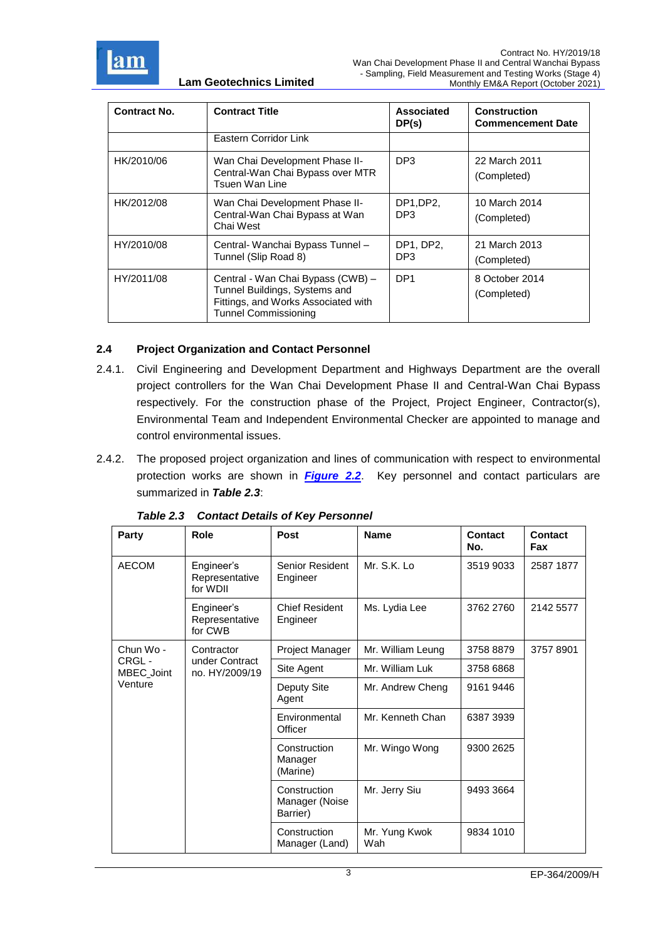

| <b>Contract No.</b> | <b>Contract Title</b>                                                                                                                    | Associated<br>DP(s) | <b>Construction</b><br><b>Commencement Date</b> |
|---------------------|------------------------------------------------------------------------------------------------------------------------------------------|---------------------|-------------------------------------------------|
|                     | Eastern Corridor Link                                                                                                                    |                     |                                                 |
| HK/2010/06          | Wan Chai Development Phase II-<br>Central-Wan Chai Bypass over MTR<br>Tsuen Wan Line                                                     |                     | 22 March 2011<br>(Completed)                    |
| HK/2012/08          | Wan Chai Development Phase II-<br>Central-Wan Chai Bypass at Wan<br>Chai West                                                            | DP1,DP2,<br>DP3     | 10 March 2014<br>(Completed)                    |
| HY/2010/08          | Central- Wanchai Bypass Tunnel -<br>Tunnel (Slip Road 8)                                                                                 | DP1, DP2,<br>DP3    | 21 March 2013<br>(Completed)                    |
| HY/2011/08          | Central - Wan Chai Bypass (CWB) -<br>Tunnel Buildings, Systems and<br>Fittings, and Works Associated with<br><b>Tunnel Commissioning</b> | DP <sub>1</sub>     | 8 October 2014<br>(Completed)                   |

## <span id="page-14-0"></span>**2.4 Project Organization and Contact Personnel**

- 2.4.1. Civil Engineering and Development Department and Highways Department are the overall project controllers for the Wan Chai Development Phase II and Central-Wan Chai Bypass respectively. For the construction phase of the Project, Project Engineer, Contractor(s), Environmental Team and Independent Environmental Checker are appointed to manage and control environmental issues.
- 2.4.2. The proposed project organization and lines of communication with respect to environmental protection works are shown in *[Figure 2.2](file:///C:/Users/porsia/Attachment/Fig2.2_Project%20Orgchart.pdf)*. Key personnel and contact particulars are summarized in *Table 2.3*:

<span id="page-14-1"></span>

| Party               | Role                                     | Post                                       | <b>Name</b>          | Contact<br>No. | Contact<br>Fax |
|---------------------|------------------------------------------|--------------------------------------------|----------------------|----------------|----------------|
| <b>AECOM</b>        | Engineer's<br>Representative<br>for WDII | Senior Resident<br>Engineer                | Mr. S.K. Lo          | 3519 9033      | 2587 1877      |
|                     | Engineer's<br>Representative<br>for CWB  | <b>Chief Resident</b><br>Engineer          | Ms. Lydia Lee        | 3762 2760      | 2142 5577      |
| Chun Wo -           | Contractor                               | Project Manager                            | Mr. William Leung    | 3758 8879      | 37578901       |
| CRGL-<br>MBEC_Joint | under Contract<br>no. HY/2009/19         | Site Agent                                 | Mr. William Luk      | 3758 6868      |                |
| Venture             |                                          | Deputy Site<br>Agent                       | Mr. Andrew Cheng     | 9161 9446      |                |
|                     |                                          | Environmental<br>Officer                   | Mr. Kenneth Chan     | 6387 3939      |                |
|                     |                                          | Construction<br>Manager<br>(Marine)        | Mr. Wingo Wong       | 9300 2625      |                |
|                     |                                          | Construction<br>Manager (Noise<br>Barrier) | Mr. Jerry Siu        | 9493 3664      |                |
|                     |                                          | Construction<br>Manager (Land)             | Mr. Yung Kwok<br>Wah | 9834 1010      |                |

*Table 2.3 Contact Details of Key Personnel*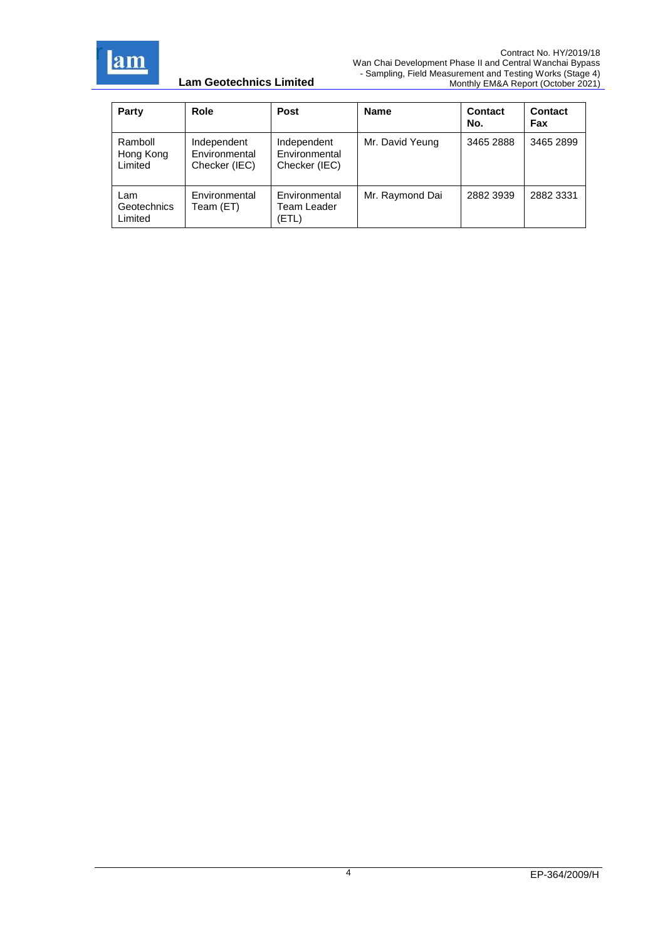

| Party                                | Role                                          | <b>Post</b>                                   | <b>Name</b>     | <b>Contact</b><br>No. | Contact<br>Fax |
|--------------------------------------|-----------------------------------------------|-----------------------------------------------|-----------------|-----------------------|----------------|
| Ramboll<br>Hong Kong<br>Limited      | Independent<br>Environmental<br>Checker (IEC) | Independent<br>Environmental<br>Checker (IEC) | Mr. David Yeung | 3465 2888             | 3465 2899      |
| Lam<br><b>Geotechnics</b><br>Limited | Environmental<br>Team (ET)                    | Environmental<br>Team Leader<br>(ETL)         | Mr. Raymond Dai | 2882 3939             | 2882 3331      |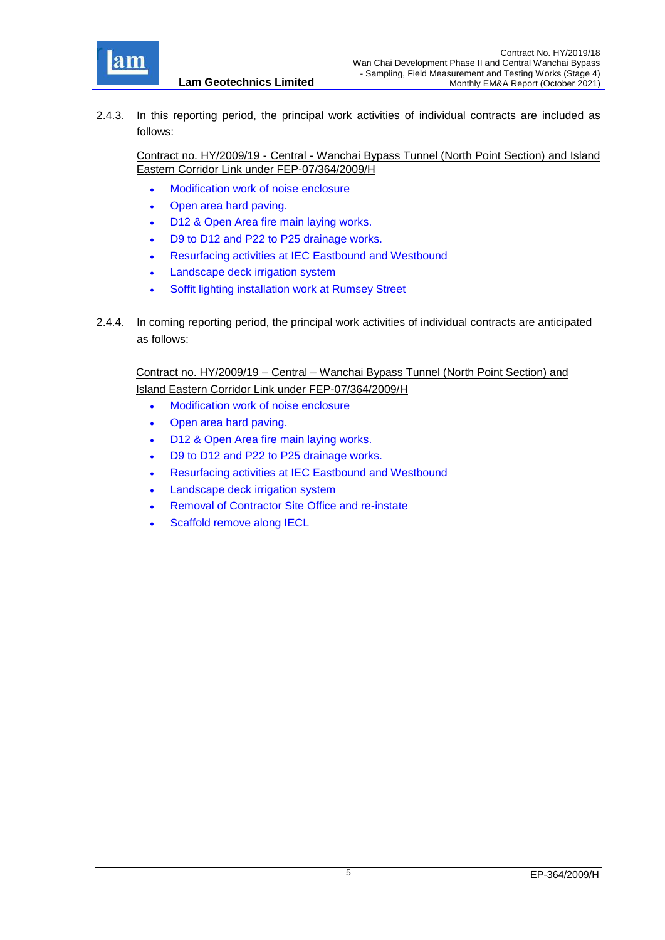

2.4.3. In this reporting period, the principal work activities of individual contracts are included as follows:

Contract no. HY/2009/19 - Central - Wanchai Bypass Tunnel (North Point Section) and Island Eastern Corridor Link under FEP-07/364/2009/H

Modification work of noise enclosure

**Lam Geotechnics Limited**

- Open area hard paving.
- D12 & Open Area fire main laying works.
- D9 to D12 and P22 to P25 drainage works.
- Resurfacing activities at IEC Eastbound and Westbound
- Landscape deck irrigation system
- Soffit lighting installation work at Rumsey Street
- 2.4.4. In coming reporting period, the principal work activities of individual contracts are anticipated as follows:

Contract no. HY/2009/19 – Central – Wanchai Bypass Tunnel (North Point Section) and Island Eastern Corridor Link under FEP-07/364/2009/H

- Modification work of noise enclosure
- Open area hard paving.
- D12 & Open Area fire main laying works.
- D9 to D12 and P22 to P25 drainage works.
- Resurfacing activities at IEC Eastbound and Westbound
- Landscape deck irrigation system
- Removal of Contractor Site Office and re-instate
- Scaffold remove along IECL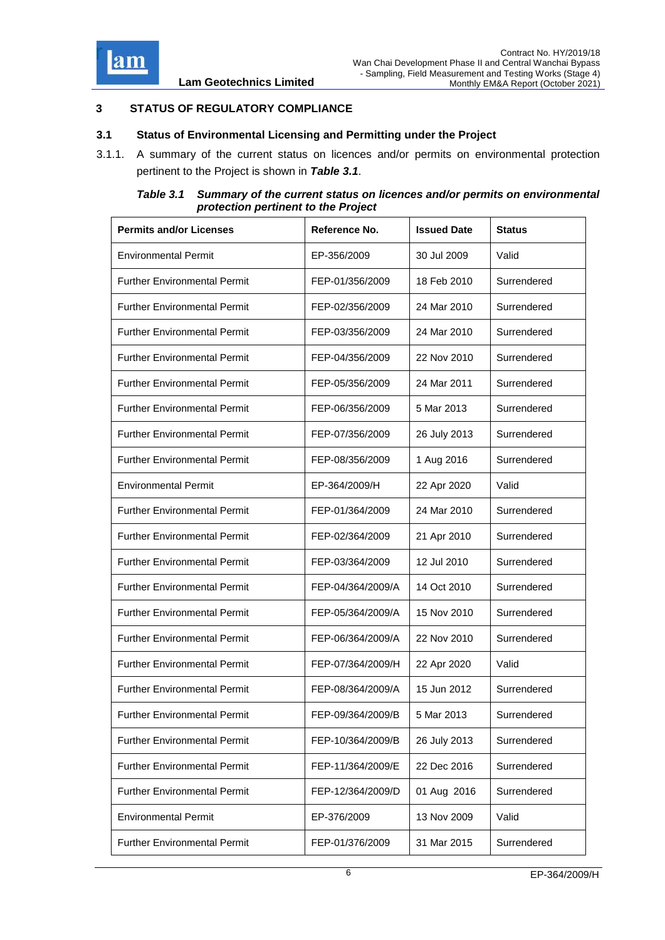

## <span id="page-17-0"></span>**3 STATUS OF REGULATORY COMPLIANCE**

#### <span id="page-17-1"></span>**3.1 Status of Environmental Licensing and Permitting under the Project**

3.1.1. A summary of the current status on licences and/or permits on environmental protection pertinent to the Project is shown in *Table 3.1*.

*Table 3.1 Summary of the current status on licences and/or permits on environmental protection pertinent to the Project*

<span id="page-17-2"></span>

| <b>Permits and/or Licenses</b>      | Reference No.     | <b>Issued Date</b> | <b>Status</b> |
|-------------------------------------|-------------------|--------------------|---------------|
| <b>Environmental Permit</b>         | EP-356/2009       | 30 Jul 2009        | Valid         |
| <b>Further Environmental Permit</b> | FEP-01/356/2009   | 18 Feb 2010        | Surrendered   |
| <b>Further Environmental Permit</b> | FEP-02/356/2009   | 24 Mar 2010        | Surrendered   |
| <b>Further Environmental Permit</b> | FEP-03/356/2009   | 24 Mar 2010        | Surrendered   |
| <b>Further Environmental Permit</b> | FEP-04/356/2009   | 22 Nov 2010        | Surrendered   |
| <b>Further Environmental Permit</b> | FEP-05/356/2009   | 24 Mar 2011        | Surrendered   |
| <b>Further Environmental Permit</b> | FEP-06/356/2009   | 5 Mar 2013         | Surrendered   |
| <b>Further Environmental Permit</b> | FEP-07/356/2009   | 26 July 2013       | Surrendered   |
| <b>Further Environmental Permit</b> | FEP-08/356/2009   | 1 Aug 2016         | Surrendered   |
| <b>Environmental Permit</b>         | EP-364/2009/H     | 22 Apr 2020        | Valid         |
| <b>Further Environmental Permit</b> | FEP-01/364/2009   | 24 Mar 2010        | Surrendered   |
| <b>Further Environmental Permit</b> | FEP-02/364/2009   | 21 Apr 2010        | Surrendered   |
| <b>Further Environmental Permit</b> | FEP-03/364/2009   | 12 Jul 2010        | Surrendered   |
| <b>Further Environmental Permit</b> | FEP-04/364/2009/A | 14 Oct 2010        | Surrendered   |
| <b>Further Environmental Permit</b> | FEP-05/364/2009/A | 15 Nov 2010        | Surrendered   |
| <b>Further Environmental Permit</b> | FEP-06/364/2009/A | 22 Nov 2010        | Surrendered   |
| <b>Further Environmental Permit</b> | FEP-07/364/2009/H | 22 Apr 2020        | Valid         |
| <b>Further Environmental Permit</b> | FEP-08/364/2009/A | 15 Jun 2012        | Surrendered   |
| <b>Further Environmental Permit</b> | FEP-09/364/2009/B | 5 Mar 2013         | Surrendered   |
| <b>Further Environmental Permit</b> | FEP-10/364/2009/B | 26 July 2013       | Surrendered   |
| <b>Further Environmental Permit</b> | FEP-11/364/2009/E | 22 Dec 2016        | Surrendered   |
| <b>Further Environmental Permit</b> | FEP-12/364/2009/D | 01 Aug 2016        | Surrendered   |
| <b>Environmental Permit</b>         | EP-376/2009       | 13 Nov 2009        | Valid         |
| <b>Further Environmental Permit</b> | FEP-01/376/2009   | 31 Mar 2015        | Surrendered   |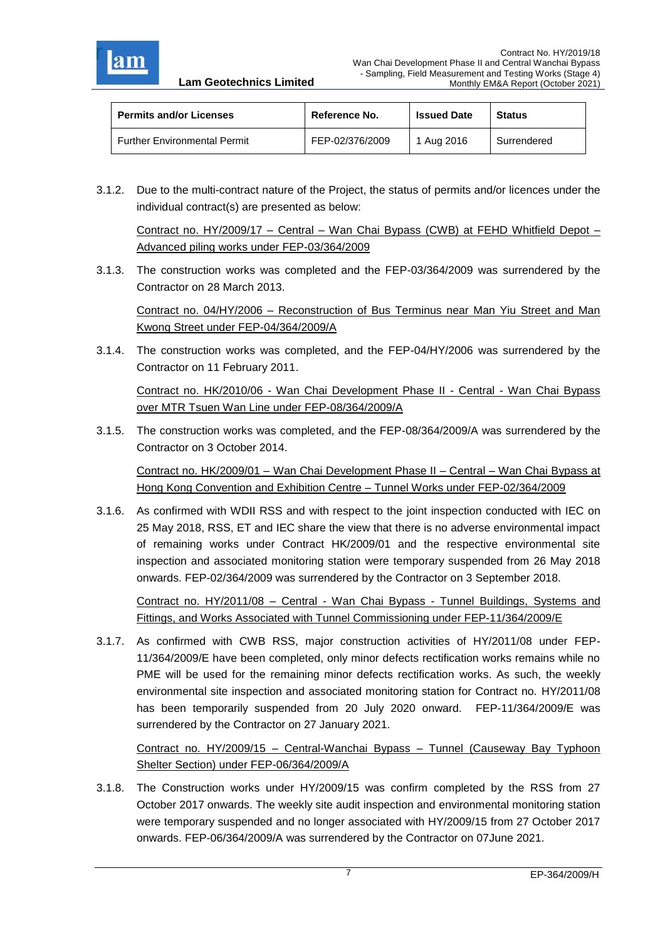

| <b>Permits and/or Licenses</b>      | Reference No.   | <b>Issued Date</b> | <b>Status</b> |  |
|-------------------------------------|-----------------|--------------------|---------------|--|
| <b>Further Environmental Permit</b> | FEP-02/376/2009 | 1 Aug 2016         | Surrendered   |  |

3.1.2. Due to the multi-contract nature of the Project, the status of permits and/or licences under the individual contract(s) are presented as below:

Contract no. HY/2009/17 – Central – Wan Chai Bypass (CWB) at FEHD Whitfield Depot – Advanced piling works under FEP-03/364/2009

3.1.3. The construction works was completed and the FEP-03/364/2009 was surrendered by the Contractor on 28 March 2013.

Contract no. 04/HY/2006 – Reconstruction of Bus Terminus near Man Yiu Street and Man Kwong Street under FEP-04/364/2009/A

3.1.4. The construction works was completed, and the FEP-04/HY/2006 was surrendered by the Contractor on 11 February 2011.

Contract no. HK/2010/06 - Wan Chai Development Phase II - Central - Wan Chai Bypass over MTR Tsuen Wan Line under FEP-08/364/2009/A

3.1.5. The construction works was completed, and the FEP-08/364/2009/A was surrendered by the Contractor on 3 October 2014.

Contract no. HK/2009/01 – Wan Chai Development Phase II – Central – Wan Chai Bypass at Hong Kong Convention and Exhibition Centre – Tunnel Works under FEP-02/364/2009

3.1.6. As confirmed with WDII RSS and with respect to the joint inspection conducted with IEC on 25 May 2018, RSS, ET and IEC share the view that there is no adverse environmental impact of remaining works under Contract HK/2009/01 and the respective environmental site inspection and associated monitoring station were temporary suspended from 26 May 2018 onwards. FEP-02/364/2009 was surrendered by the Contractor on 3 September 2018.

Contract no. HY/2011/08 – Central - Wan Chai Bypass - Tunnel Buildings, Systems and Fittings, and Works Associated with Tunnel Commissioning under FEP-11/364/2009/E

3.1.7. As confirmed with CWB RSS, major construction activities of HY/2011/08 under FEP-11/364/2009/E have been completed, only minor defects rectification works remains while no PME will be used for the remaining minor defects rectification works. As such, the weekly environmental site inspection and associated monitoring station for Contract no. HY/2011/08 has been temporarily suspended from 20 July 2020 onward. FEP-11/364/2009/E was surrendered by the Contractor on 27 January 2021.

Contract no. HY/2009/15 – Central-Wanchai Bypass – Tunnel (Causeway Bay Typhoon Shelter Section) under FEP-06/364/2009/A

3.1.8. The Construction works under HY/2009/15 was confirm completed by the RSS from 27 October 2017 onwards. The weekly site audit inspection and environmental monitoring station were temporary suspended and no longer associated with HY/2009/15 from 27 October 2017 onwards. FEP-06/364/2009/A was surrendered by the Contractor on 07June 2021.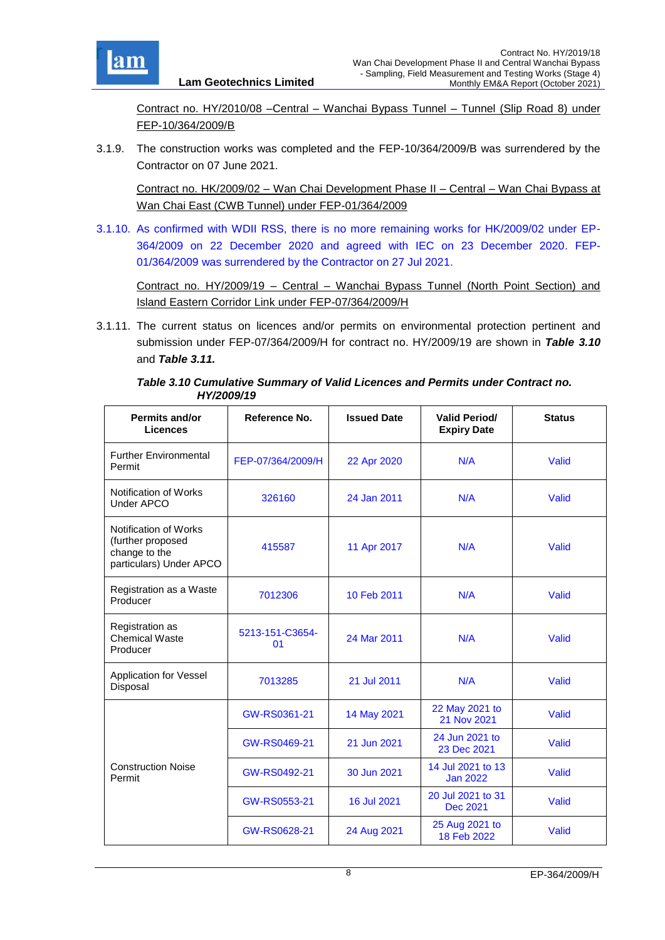

Contract no. HY/2010/08 –Central – Wanchai Bypass Tunnel – Tunnel (Slip Road 8) under FEP-10/364/2009/B

3.1.9. The construction works was completed and the FEP-10/364/2009/B was surrendered by the Contractor on 07 June 2021.

Contract no. HK/2009/02 – Wan Chai Development Phase II – Central – Wan Chai Bypass at Wan Chai East (CWB Tunnel) under FEP-01/364/2009

3.1.10. As confirmed with WDII RSS, there is no more remaining works for HK/2009/02 under EP-364/2009 on 22 December 2020 and agreed with IEC on 23 December 2020. FEP-01/364/2009 was surrendered by the Contractor on 27 Jul 2021.

Contract no. HY/2009/19 – Central – Wanchai Bypass Tunnel (North Point Section) and Island Eastern Corridor Link under FEP-07/364/2009/H

3.1.11. The current status on licences and/or permits on environmental protection pertinent and submission under FEP-07/364/2009/H for contract no. HY/2009/19 are shown in *Table 3.10* and *Table 3.11.*

*Table 3.10 Cumulative Summary of Valid Licences and Permits under Contract no. HY/2009/19*

<span id="page-19-0"></span>

| <b>Permits and/or</b><br><b>Licences</b>                                               | Reference No.         | <b>Issued Date</b> | <b>Valid Period/</b><br><b>Expiry Date</b> | <b>Status</b> |
|----------------------------------------------------------------------------------------|-----------------------|--------------------|--------------------------------------------|---------------|
| <b>Further Environmental</b><br>Permit                                                 | FEP-07/364/2009/H     | 22 Apr 2020        | N/A                                        | Valid         |
| Notification of Works<br><b>Under APCO</b>                                             | 326160                | 24 Jan 2011        | N/A                                        | Valid         |
| Notification of Works<br>(further proposed<br>change to the<br>particulars) Under APCO | 415587                | 11 Apr 2017        | N/A                                        | Valid         |
| Registration as a Waste<br>Producer                                                    | 7012306               | 10 Feb 2011        | N/A                                        | Valid         |
| Registration as<br><b>Chemical Waste</b><br>Producer                                   | 5213-151-C3654-<br>01 | 24 Mar 2011        | N/A                                        | Valid         |
| <b>Application for Vessel</b><br>Disposal                                              | 7013285               | 21 Jul 2011        | N/A                                        | Valid         |
|                                                                                        | GW-RS0361-21          | 14 May 2021        | 22 May 2021 to<br>21 Nov 2021              | Valid         |
|                                                                                        | GW-RS0469-21          | 21 Jun 2021        | 24 Jun 2021 to<br>23 Dec 2021              | Valid         |
| <b>Construction Noise</b><br>Permit                                                    | GW-RS0492-21          | 30 Jun 2021        | 14 Jul 2021 to 13<br><b>Jan 2022</b>       | Valid         |
|                                                                                        | GW-RS0553-21          | 16 Jul 2021        | 20 Jul 2021 to 31<br>Dec 2021              | Valid         |
|                                                                                        | GW-RS0628-21          | 24 Aug 2021        | 25 Aug 2021 to<br>18 Feb 2022              | Valid         |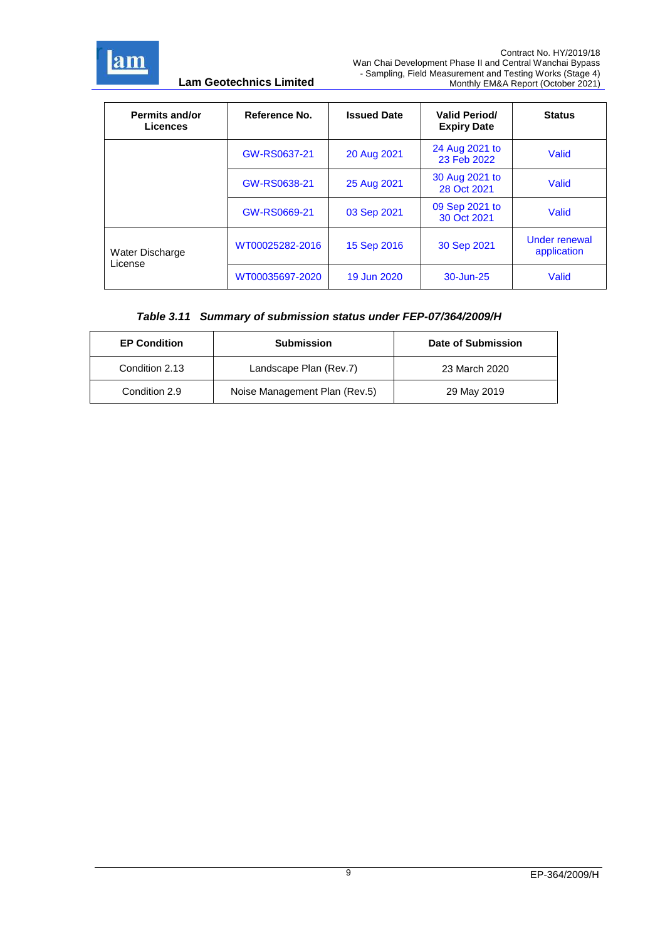

| <b>Permits and/or</b><br><b>Licences</b> | Reference No.   | <b>Issued Date</b> | <b>Valid Period/</b><br><b>Expiry Date</b> | <b>Status</b>                       |
|------------------------------------------|-----------------|--------------------|--------------------------------------------|-------------------------------------|
|                                          | GW-RS0637-21    | 20 Aug 2021        | 24 Aug 2021 to<br>23 Feb 2022              | Valid                               |
|                                          | GW-RS0638-21    | 25 Aug 2021        | 30 Aug 2021 to<br>28 Oct 2021              | Valid                               |
|                                          | GW-RS0669-21    | 03 Sep 2021        | 09 Sep 2021 to<br>30 Oct 2021              | Valid                               |
| Water Discharge                          | WT00025282-2016 | 15 Sep 2016        | 30 Sep 2021                                | <b>Under renewal</b><br>application |
| License                                  | WT00035697-2020 | 19 Jun 2020        | 30-Jun-25                                  | Valid                               |

## *Table 3.11 Summary of submission status under FEP-07/364/2009/H*

| <b>EP Condition</b> | <b>Submission</b>             | Date of Submission |
|---------------------|-------------------------------|--------------------|
| Condition 2.13      | Landscape Plan (Rev.7)        | 23 March 2020      |
| Condition 2.9       | Noise Management Plan (Rev.5) | 29 May 2019        |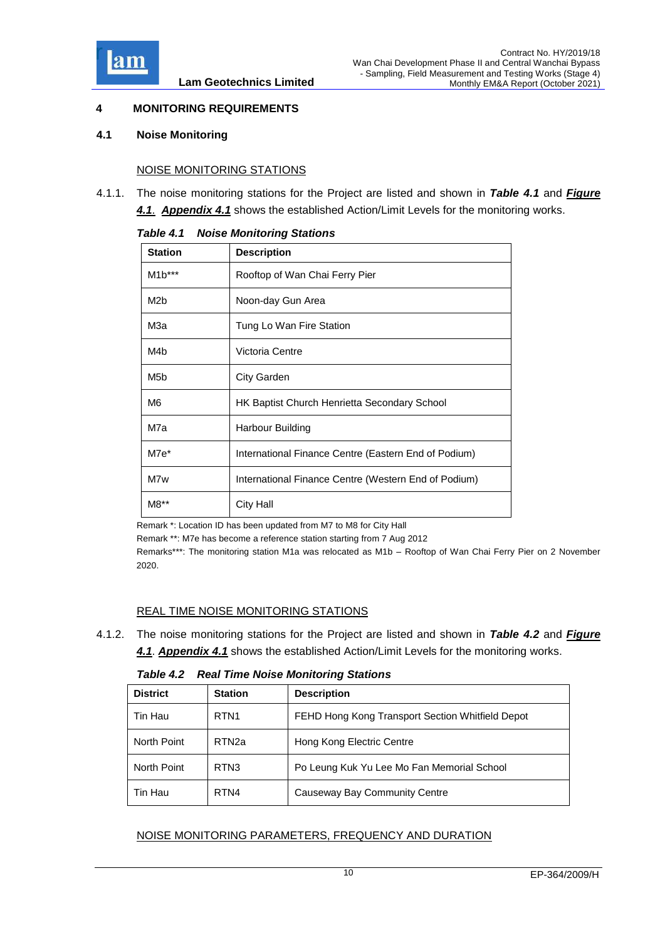

## <span id="page-21-0"></span>**4 MONITORING REQUIREMENTS**

#### <span id="page-21-1"></span>**4.1 Noise Monitoring**

#### NOISE MONITORING STATIONS

<span id="page-21-2"></span>4.1.1. The noise monitoring stations for the Project are listed and shown in *Table 4.1* and *[Figure](file:///C:/Users/porsia/Attachment/App4.1%20Action%20and%20Limit%20Level.pdf)  [4.1](file:///C:/Users/porsia/Attachment/App4.1%20Action%20and%20Limit%20Level.pdf)*. *[Appendix 4.1](file:///C:/Users/porsia/Attachment/App4.1%20Action%20and%20Limit%20Level.pdf)* shows the established Action/Limit Levels for the monitoring works.

| <b>Station</b>   | <b>Description</b>                                   |
|------------------|------------------------------------------------------|
| $M1b***$         | Rooftop of Wan Chai Ferry Pier                       |
| M <sub>2</sub> b | Noon-day Gun Area                                    |
| МЗа              | Tung Lo Wan Fire Station                             |
| M4 <sub>b</sub>  | Victoria Centre                                      |
| M <sub>5</sub> b | City Garden                                          |
| M6               | <b>HK Baptist Church Henrietta Secondary School</b>  |
| M7a              | Harbour Building                                     |
| M7e*             | International Finance Centre (Eastern End of Podium) |
| M7w              | International Finance Centre (Western End of Podium) |
| M8**             | City Hall                                            |

#### *Table 4.1 Noise Monitoring Stations*

Remark \*: Location ID has been updated from M7 to M8 for City Hall

Remark \*\*: M7e has become a reference station starting from 7 Aug 2012

Remarks\*\*\*: The monitoring station M1a was relocated as M1b – Rooftop of Wan Chai Ferry Pier on 2 November 2020.

#### REAL TIME NOISE MONITORING STATIONS

4.1.2. The noise monitoring stations for the Project are listed and shown in *Table 4.2* and *Figure 4.1*. *[Appendix 4.1](file:///C:/Users/porsia/Attachment/App4.1%20Action%20and%20Limit%20Level.pdf)* shows the established Action/Limit Levels for the monitoring works.

*Table 4.2 Real Time Noise Monitoring Stations*

<span id="page-21-3"></span>

| <b>District</b> | <b>Station</b>    | <b>Description</b>                               |  |
|-----------------|-------------------|--------------------------------------------------|--|
| Tin Hau         | RTN <sub>1</sub>  | FEHD Hong Kong Transport Section Whitfield Depot |  |
| North Point     | RTN <sub>2a</sub> | Hong Kong Electric Centre                        |  |
| North Point     | RTN <sub>3</sub>  | Po Leung Kuk Yu Lee Mo Fan Memorial School       |  |
| Tin Hau         | RTN4              | Causeway Bay Community Centre                    |  |

#### NOISE MONITORING PARAMETERS, FREQUENCY AND DURATION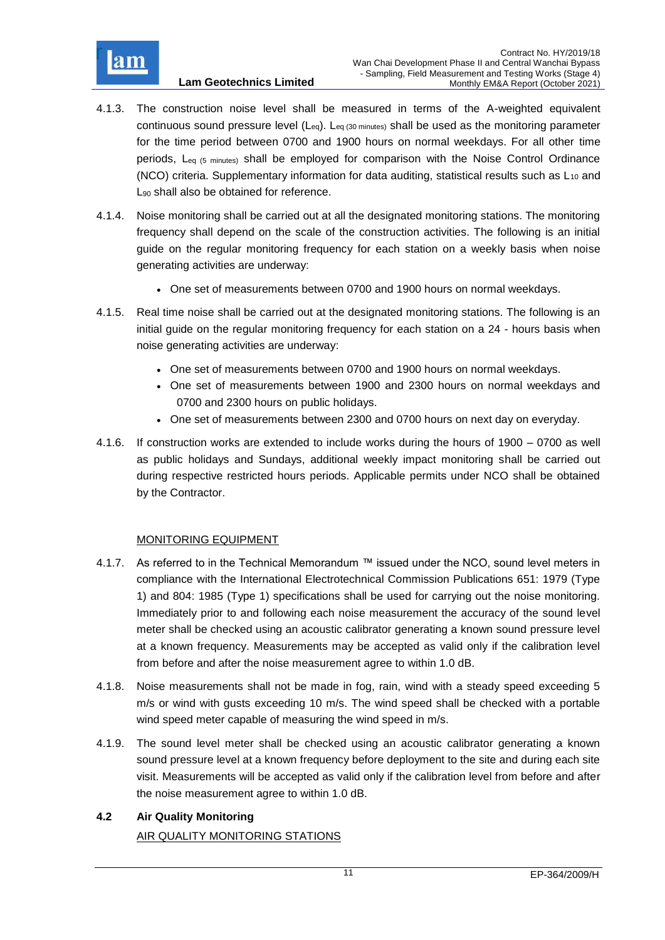

- 4.1.3. The construction noise level shall be measured in terms of the A-weighted equivalent continuous sound pressure level  $(L_{eq})$ .  $L_{eq}$  (30 minutes) shall be used as the monitoring parameter for the time period between 0700 and 1900 hours on normal weekdays. For all other time periods, Leq (5 minutes) shall be employed for comparison with the Noise Control Ordinance (NCO) criteria. Supplementary information for data auditing, statistical results such as  $L_{10}$  and L<sub>90</sub> shall also be obtained for reference.
- 4.1.4. Noise monitoring shall be carried out at all the designated monitoring stations. The monitoring frequency shall depend on the scale of the construction activities. The following is an initial guide on the regular monitoring frequency for each station on a weekly basis when noise generating activities are underway:
	- One set of measurements between 0700 and 1900 hours on normal weekdays.
- 4.1.5. Real time noise shall be carried out at the designated monitoring stations. The following is an initial guide on the regular monitoring frequency for each station on a 24 - hours basis when noise generating activities are underway:
	- One set of measurements between 0700 and 1900 hours on normal weekdays.
	- One set of measurements between 1900 and 2300 hours on normal weekdays and 0700 and 2300 hours on public holidays.
	- One set of measurements between 2300 and 0700 hours on next day on everyday.
- 4.1.6. If construction works are extended to include works during the hours of 1900 0700 as well as public holidays and Sundays, additional weekly impact monitoring shall be carried out during respective restricted hours periods. Applicable permits under NCO shall be obtained by the Contractor.

## MONITORING EQUIPMENT

- 4.1.7. As referred to in the Technical Memorandum ™ issued under the NCO, sound level meters in compliance with the International Electrotechnical Commission Publications 651: 1979 (Type 1) and 804: 1985 (Type 1) specifications shall be used for carrying out the noise monitoring. Immediately prior to and following each noise measurement the accuracy of the sound level meter shall be checked using an acoustic calibrator generating a known sound pressure level at a known frequency. Measurements may be accepted as valid only if the calibration level from before and after the noise measurement agree to within 1.0 dB.
- 4.1.8. Noise measurements shall not be made in fog, rain, wind with a steady speed exceeding 5 m/s or wind with gusts exceeding 10 m/s. The wind speed shall be checked with a portable wind speed meter capable of measuring the wind speed in m/s.
- 4.1.9. The sound level meter shall be checked using an acoustic calibrator generating a known sound pressure level at a known frequency before deployment to the site and during each site visit. Measurements will be accepted as valid only if the calibration level from before and after the noise measurement agree to within 1.0 dB.

## <span id="page-22-0"></span>**4.2 Air Quality Monitoring**

AIR QUALITY MONITORING STATIONS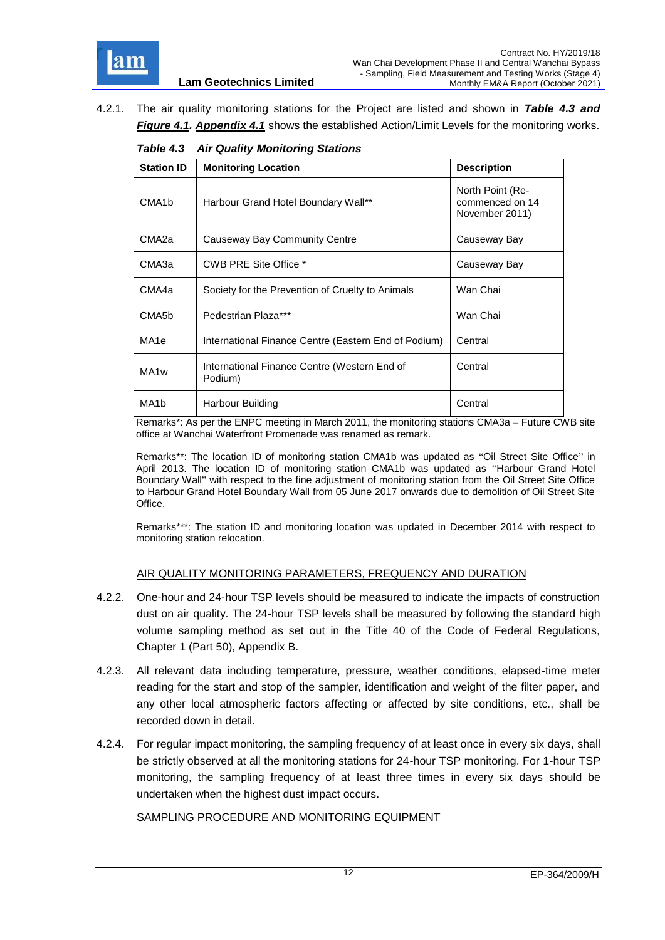

<span id="page-23-0"></span>4.2.1. The air quality monitoring stations for the Project are listed and shown in *Table 4.3 and Figure 4.1. [Appendix 4.1](file:///C:/Users/porsia/Attachment/App4.1%20Action%20and%20Limit%20Level.pdf)* shows the established Action/Limit Levels for the monitoring works.

| $100 - 110 - 111$ again, monitoring otherwise |                                                         |                                                       |  |  |
|-----------------------------------------------|---------------------------------------------------------|-------------------------------------------------------|--|--|
| <b>Station ID</b>                             | <b>Monitoring Location</b>                              | <b>Description</b>                                    |  |  |
| CMA <sub>1</sub> b                            | Harbour Grand Hotel Boundary Wall**                     | North Point (Re-<br>commenced on 14<br>November 2011) |  |  |
| CMA2a                                         | Causeway Bay Community Centre                           | Causeway Bay                                          |  |  |
| CMA3a                                         | CWB PRE Site Office *                                   | Causeway Bay                                          |  |  |
| CMA4a                                         | Society for the Prevention of Cruelty to Animals        | Wan Chai                                              |  |  |
| CMA <sub>5</sub> b                            | Pedestrian Plaza***                                     | Wan Chai                                              |  |  |
| MA1e                                          | International Finance Centre (Eastern End of Podium)    | Central                                               |  |  |
| MA <sub>1</sub> w                             | International Finance Centre (Western End of<br>Podium) | Central                                               |  |  |
| MA <sub>1</sub> b                             | Harbour Building                                        | Central                                               |  |  |

*Table 4.3 Air Quality Monitoring Stations*

Remarks\*: As per the ENPC meeting in March 2011, the monitoring stations CMA3a – Future CWB site office at Wanchai Waterfront Promenade was renamed as remark.

Remarks\*\*: The location ID of monitoring station CMA1b was updated as "Oil Street Site Office" in April 2013. The location ID of monitoring station CMA1b was updated as "Harbour Grand Hotel Boundary Wall" with respect to the fine adjustment of monitoring station from the Oil Street Site Office to Harbour Grand Hotel Boundary Wall from 05 June 2017 onwards due to demolition of Oil Street Site Office.

Remarks\*\*\*: The station ID and monitoring location was updated in December 2014 with respect to monitoring station relocation.

#### AIR QUALITY MONITORING PARAMETERS, FREQUENCY AND DURATION

- 4.2.2. One-hour and 24-hour TSP levels should be measured to indicate the impacts of construction dust on air quality. The 24-hour TSP levels shall be measured by following the standard high volume sampling method as set out in the Title 40 of the Code of Federal Regulations, Chapter 1 (Part 50), Appendix B.
- 4.2.3. All relevant data including temperature, pressure, weather conditions, elapsed-time meter reading for the start and stop of the sampler, identification and weight of the filter paper, and any other local atmospheric factors affecting or affected by site conditions, etc., shall be recorded down in detail.
- 4.2.4. For regular impact monitoring, the sampling frequency of at least once in every six days, shall be strictly observed at all the monitoring stations for 24-hour TSP monitoring. For 1-hour TSP monitoring, the sampling frequency of at least three times in every six days should be undertaken when the highest dust impact occurs.

#### SAMPLING PROCEDURE AND MONITORING EQUIPMENT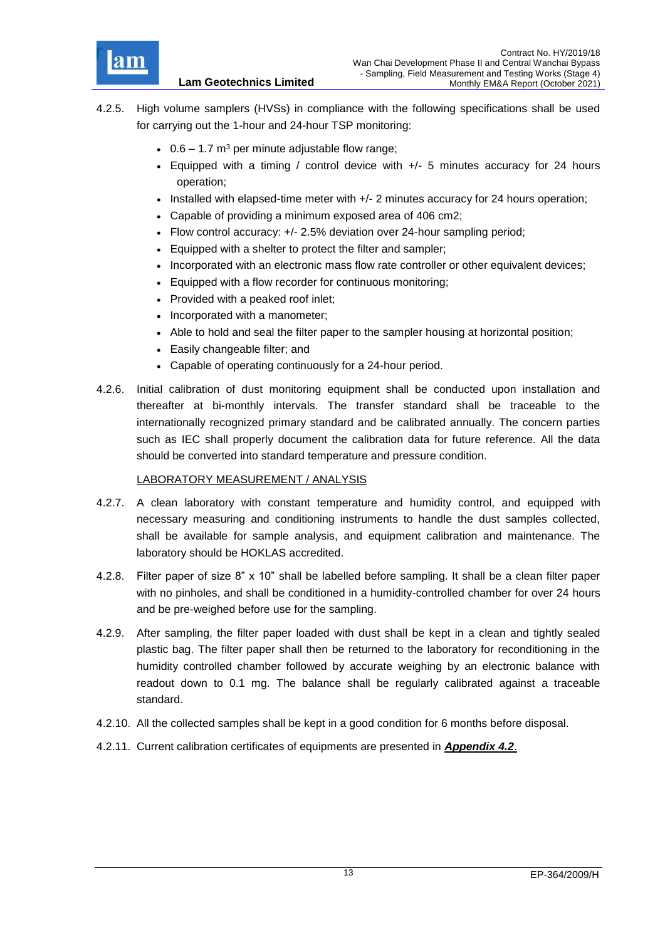

- 4.2.5. High volume samplers (HVSs) in compliance with the following specifications shall be used for carrying out the 1-hour and 24-hour TSP monitoring:
	- $\cdot$  0.6 1.7 m<sup>3</sup> per minute adjustable flow range;

- Equipped with a timing / control device with  $+/-$  5 minutes accuracy for 24 hours operation;
- Installed with elapsed-time meter with +/- 2 minutes accuracy for 24 hours operation;
- Capable of providing a minimum exposed area of 406 cm2;
- Flow control accuracy: +/- 2.5% deviation over 24-hour sampling period;
- Equipped with a shelter to protect the filter and sampler;
- Incorporated with an electronic mass flow rate controller or other equivalent devices;
- Equipped with a flow recorder for continuous monitoring;
- Provided with a peaked roof inlet;
- Incorporated with a manometer;
- Able to hold and seal the filter paper to the sampler housing at horizontal position;
- Easily changeable filter; and
- Capable of operating continuously for a 24-hour period.
- 4.2.6. Initial calibration of dust monitoring equipment shall be conducted upon installation and thereafter at bi-monthly intervals. The transfer standard shall be traceable to the internationally recognized primary standard and be calibrated annually. The concern parties such as IEC shall properly document the calibration data for future reference. All the data should be converted into standard temperature and pressure condition.

#### LABORATORY MEASUREMENT / ANALYSIS

- 4.2.7. A clean laboratory with constant temperature and humidity control, and equipped with necessary measuring and conditioning instruments to handle the dust samples collected, shall be available for sample analysis, and equipment calibration and maintenance. The laboratory should be HOKLAS accredited.
- 4.2.8. Filter paper of size 8" x 10" shall be labelled before sampling. It shall be a clean filter paper with no pinholes, and shall be conditioned in a humidity-controlled chamber for over 24 hours and be pre-weighed before use for the sampling.
- 4.2.9. After sampling, the filter paper loaded with dust shall be kept in a clean and tightly sealed plastic bag. The filter paper shall then be returned to the laboratory for reconditioning in the humidity controlled chamber followed by accurate weighing by an electronic balance with readout down to 0.1 mg. The balance shall be regularly calibrated against a traceable standard.
- 4.2.10. All the collected samples shall be kept in a good condition for 6 months before disposal.
- 4.2.11. Current calibration certificates of equipments are presented in *[Appendix 4.2](file:///C:/Users/porsia/Attachment/App4.2%20Calibration%20Cert.pdf)*.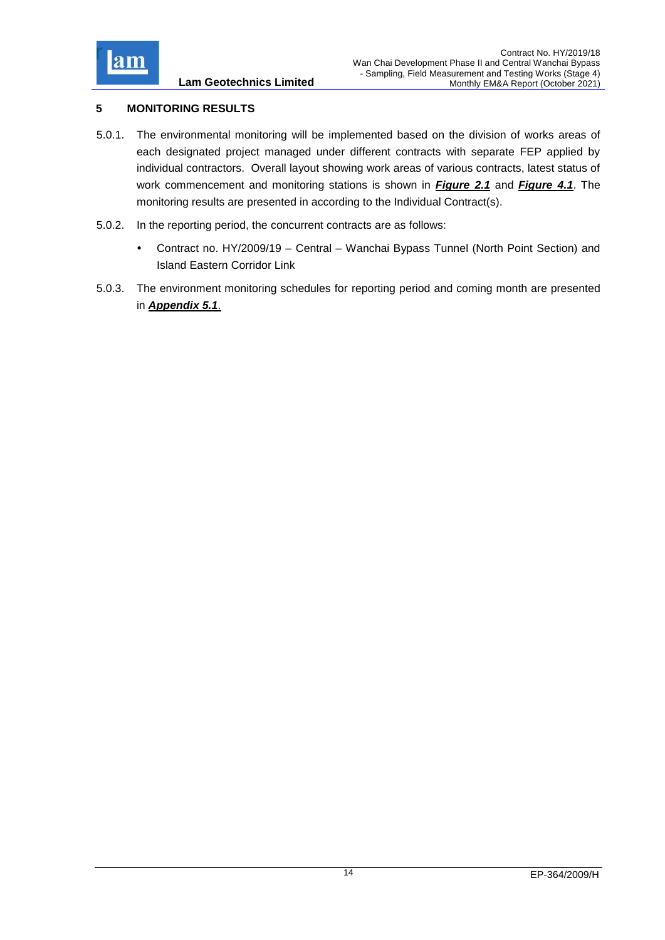

## <span id="page-25-0"></span>**5 MONITORING RESULTS**

- 5.0.1. The environmental monitoring will be implemented based on the division of works areas of each designated project managed under different contracts with separate FEP applied by individual contractors. Overall layout showing work areas of various contracts, latest status of work commencement and monitoring stations is shown in *[Figure 2.1](file:///C:/Users/porsia/Attachment/Fig2.1_Project%20Layout.pdf)* and *[Figure 4.1](file:///C:/Users/porsia/Attachment/Fig4.1%20Location%20of%20monitoring%20stations.pdf)*. The monitoring results are presented in according to the Individual Contract(s).
- 5.0.2. In the reporting period, the concurrent contracts are as follows:
	- Contract no. HY/2009/19 Central Wanchai Bypass Tunnel (North Point Section) and Island Eastern Corridor Link
- 5.0.3. The environment monitoring schedules for reporting period and coming month are presented in *[Appendix 5.1](file:///C:/Users/porsia/Attachment/App5.1%20Schedule.pdf)*.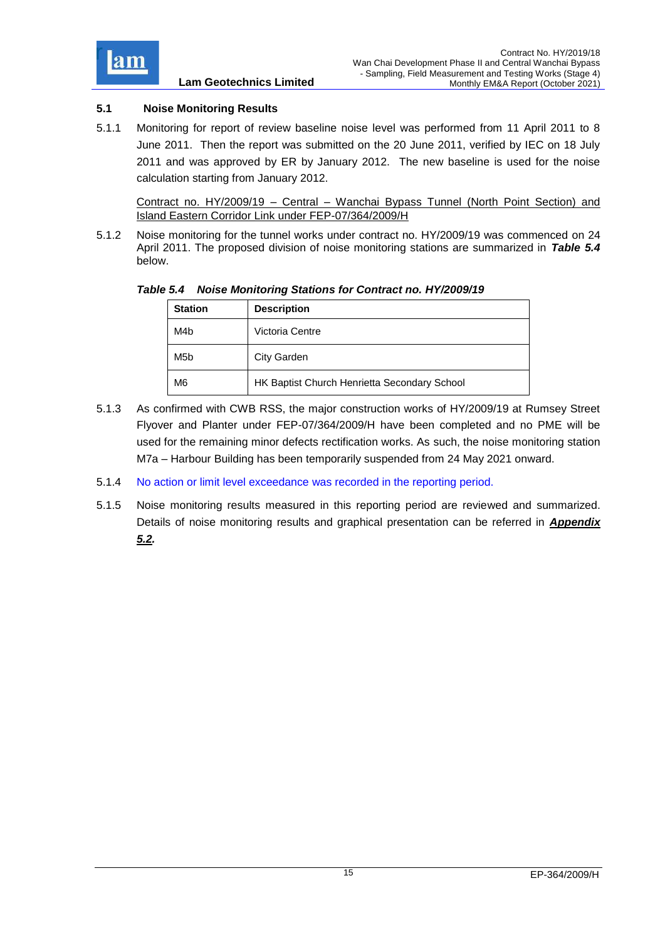

## <span id="page-26-0"></span>**5.1 Noise Monitoring Results**

5.1.1 Monitoring for report of review baseline noise level was performed from 11 April 2011 to 8 June 2011. Then the report was submitted on the 20 June 2011, verified by IEC on 18 July 2011 and was approved by ER by January 2012. The new baseline is used for the noise calculation starting from January 2012.

Contract no. HY/2009/19 – Central – Wanchai Bypass Tunnel (North Point Section) and Island Eastern Corridor Link under FEP-07/364/2009/H

5.1.2 Noise monitoring for the tunnel works under contract no. HY/2009/19 was commenced on 24 April 2011. The proposed division of noise monitoring stations are summarized in *Table 5.4* below.

<span id="page-26-1"></span>*Table 5.4 Noise Monitoring Stations for Contract no. HY/2009/19*

| <b>Station</b>   | <b>Description</b>                           |  |
|------------------|----------------------------------------------|--|
| M4b              | Victoria Centre                              |  |
| M <sub>5</sub> b | City Garden                                  |  |
| M <sub>6</sub>   | HK Baptist Church Henrietta Secondary School |  |

- 5.1.3 As confirmed with CWB RSS, the major construction works of HY/2009/19 at Rumsey Street Flyover and Planter under FEP-07/364/2009/H have been completed and no PME will be used for the remaining minor defects rectification works. As such, the noise monitoring station M7a – Harbour Building has been temporarily suspended from 24 May 2021 onward.
- 5.1.4 No action or limit level exceedance was recorded in the reporting period.
- 5.1.5 Noise monitoring results measured in this reporting period are reviewed and summarized. Details of noise monitoring results and graphical presentation can be referred in *[Appendix](file:///C:/Users/porsia/Attachment/App5.2%20Noise.pdf)  [5.2.](file:///C:/Users/porsia/Attachment/App5.2%20Noise.pdf)*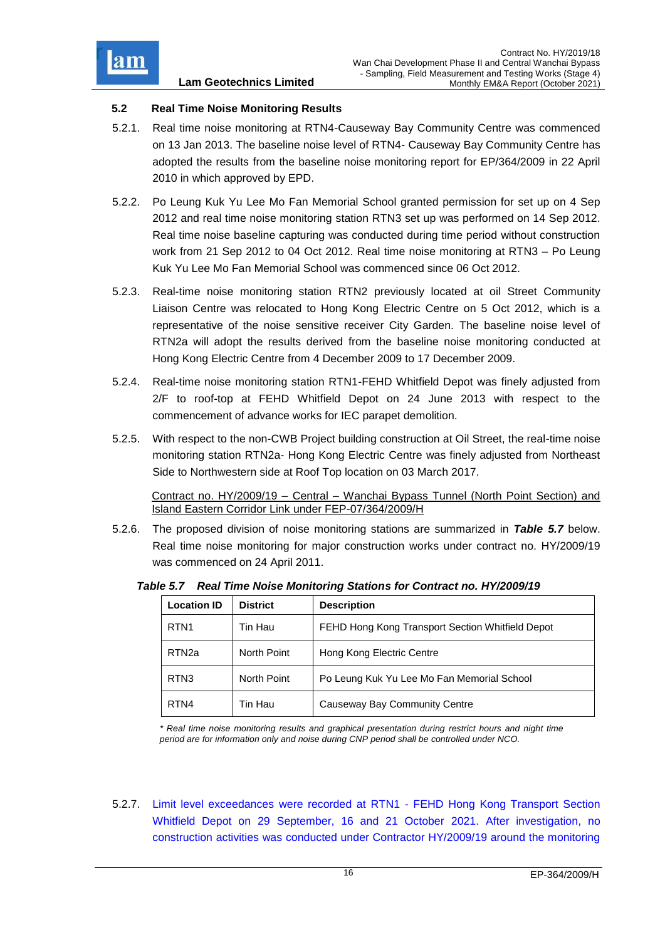

## <span id="page-27-0"></span>**5.2 Real Time Noise Monitoring Results**

- 5.2.1. Real time noise monitoring at RTN4-Causeway Bay Community Centre was commenced on 13 Jan 2013. The baseline noise level of RTN4- Causeway Bay Community Centre has adopted the results from the baseline noise monitoring report for EP/364/2009 in 22 April 2010 in which approved by EPD.
- 5.2.2. Po Leung Kuk Yu Lee Mo Fan Memorial School granted permission for set up on 4 Sep 2012 and real time noise monitoring station RTN3 set up was performed on 14 Sep 2012. Real time noise baseline capturing was conducted during time period without construction work from 21 Sep 2012 to 04 Oct 2012. Real time noise monitoring at RTN3 – Po Leung Kuk Yu Lee Mo Fan Memorial School was commenced since 06 Oct 2012.
- 5.2.3. Real-time noise monitoring station RTN2 previously located at oil Street Community Liaison Centre was relocated to Hong Kong Electric Centre on 5 Oct 2012, which is a representative of the noise sensitive receiver City Garden. The baseline noise level of RTN2a will adopt the results derived from the baseline noise monitoring conducted at Hong Kong Electric Centre from 4 December 2009 to 17 December 2009.
- 5.2.4. Real-time noise monitoring station RTN1-FEHD Whitfield Depot was finely adjusted from 2/F to roof-top at FEHD Whitfield Depot on 24 June 2013 with respect to the commencement of advance works for IEC parapet demolition.
- 5.2.5. With respect to the non-CWB Project building construction at Oil Street, the real-time noise monitoring station RTN2a- Hong Kong Electric Centre was finely adjusted from Northeast Side to Northwestern side at Roof Top location on 03 March 2017.

Contract no. HY/2009/19 – Central – Wanchai Bypass Tunnel (North Point Section) and Island Eastern Corridor Link under FEP-07/364/2009/H

5.2.6. The proposed division of noise monitoring stations are summarized in *Table 5.7* below. Real time noise monitoring for major construction works under contract no. HY/2009/19 was commenced on 24 April 2011.

| <b>Location ID</b> | <b>District</b> | <b>Description</b>                               |
|--------------------|-----------------|--------------------------------------------------|
| RTN <sub>1</sub>   | Tin Hau         | FEHD Hong Kong Transport Section Whitfield Depot |
| RTN <sub>2a</sub>  | North Point     | Hong Kong Electric Centre                        |
| RTN <sub>3</sub>   | North Point     | Po Leung Kuk Yu Lee Mo Fan Memorial School       |
| RTN4               | Tin Hau         | Causeway Bay Community Centre                    |

<span id="page-27-1"></span>*Table 5.7 Real Time Noise Monitoring Stations for Contract no. HY/2009/19*

*\* Real time noise monitoring results and graphical presentation during restrict hours and night time period are for information only and noise during CNP period shall be controlled under NCO.*

5.2.7. Limit level exceedances were recorded at RTN1 - FEHD Hong Kong Transport Section Whitfield Depot on 29 September, 16 and 21 October 2021. After investigation, no construction activities was conducted under Contractor HY/2009/19 around the monitoring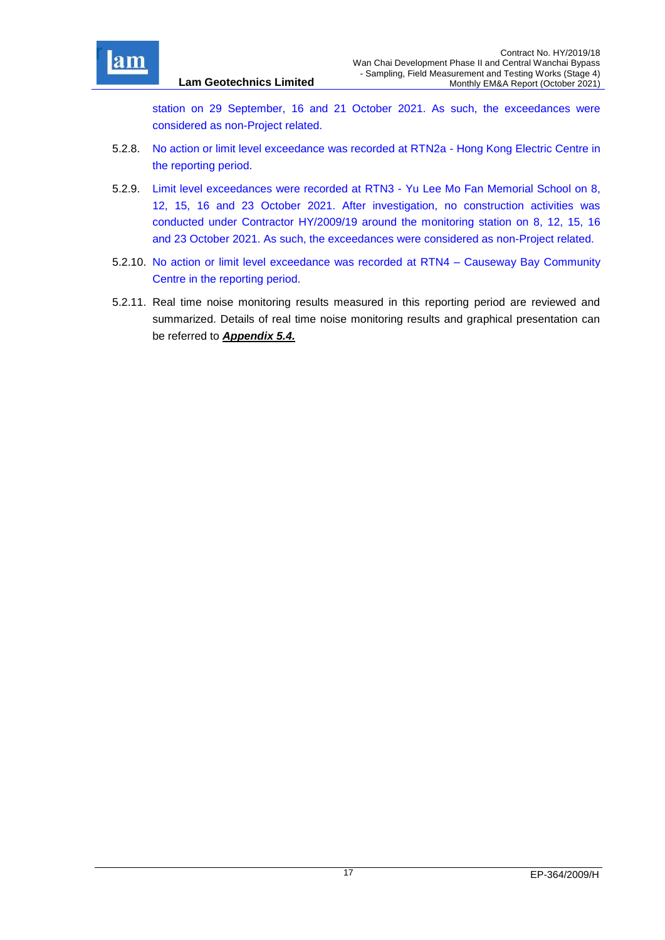

station on 29 September, 16 and 21 October 2021. As such, the exceedances were considered as non-Project related.

5.2.8. No action or limit level exceedance was recorded at RTN2a - Hong Kong Electric Centre in the reporting period.

**Lam Geotechnics Limited**

- 5.2.9. Limit level exceedances were recorded at RTN3 Yu Lee Mo Fan Memorial School on 8, 12, 15, 16 and 23 October 2021. After investigation, no construction activities was conducted under Contractor HY/2009/19 around the monitoring station on 8, 12, 15, 16 and 23 October 2021. As such, the exceedances were considered as non-Project related.
- 5.2.10. No action or limit level exceedance was recorded at RTN4 Causeway Bay Community Centre in the reporting period.
- 5.2.11. Real time noise monitoring results measured in this reporting period are reviewed and summarized. Details of real time noise monitoring results and graphical presentation can be referred to *[Appendix 5.4.](file:///C:/Users/porsia/Attachment/App5.4%20Real%20time%20noise.pdf)*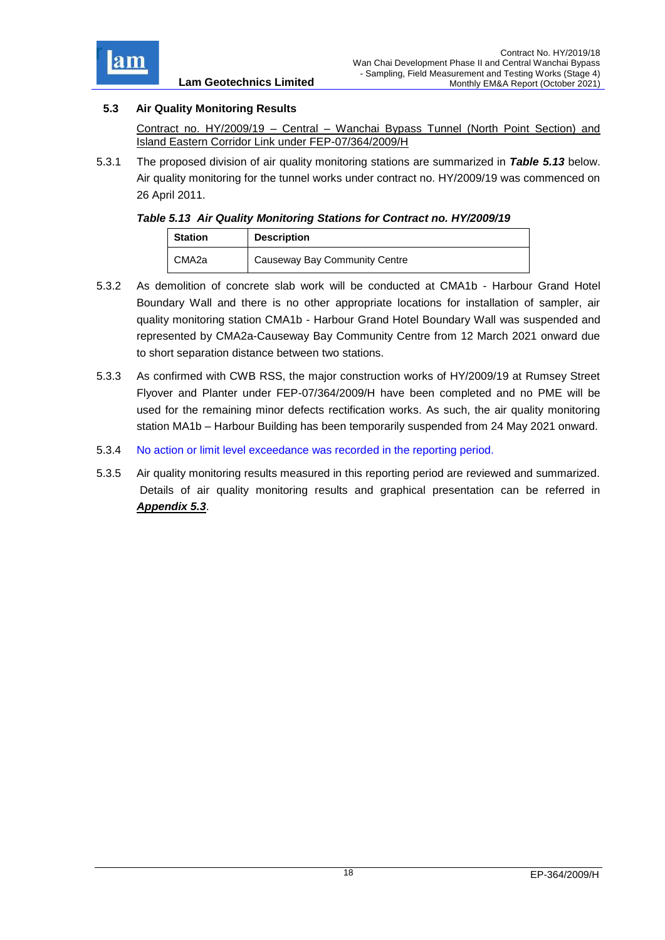

## <span id="page-29-0"></span>**5.3 Air Quality Monitoring Results**

Contract no. HY/2009/19 – Central – Wanchai Bypass Tunnel (North Point Section) and Island Eastern Corridor Link under FEP-07/364/2009/H

5.3.1 The proposed division of air quality monitoring stations are summarized in *Table 5.13* below. Air quality monitoring for the tunnel works under contract no. HY/2009/19 was commenced on 26 April 2011.

## <span id="page-29-1"></span>*Table 5.13 Air Quality Monitoring Stations for Contract no. HY/2009/19*

| <b>Station</b> | <b>Description</b>            |  |
|----------------|-------------------------------|--|
| CMA2a          | Causeway Bay Community Centre |  |

- 5.3.2 As demolition of concrete slab work will be conducted at CMA1b Harbour Grand Hotel Boundary Wall and there is no other appropriate locations for installation of sampler, air quality monitoring station CMA1b - Harbour Grand Hotel Boundary Wall was suspended and represented by CMA2a-Causeway Bay Community Centre from 12 March 2021 onward due to short separation distance between two stations.
- 5.3.3 As confirmed with CWB RSS, the major construction works of HY/2009/19 at Rumsey Street Flyover and Planter under FEP-07/364/2009/H have been completed and no PME will be used for the remaining minor defects rectification works. As such, the air quality monitoring station MA1b – Harbour Building has been temporarily suspended from 24 May 2021 onward.
- 5.3.4 No action or limit level exceedance was recorded in the reporting period.
- 5.3.5 Air quality monitoring results measured in this reporting period are reviewed and summarized. Details of air quality monitoring results and graphical presentation can be referred in *[Appendix 5.3](file:///C:/Users/porsia/Attachment/App5.3%20Air.pdf)*.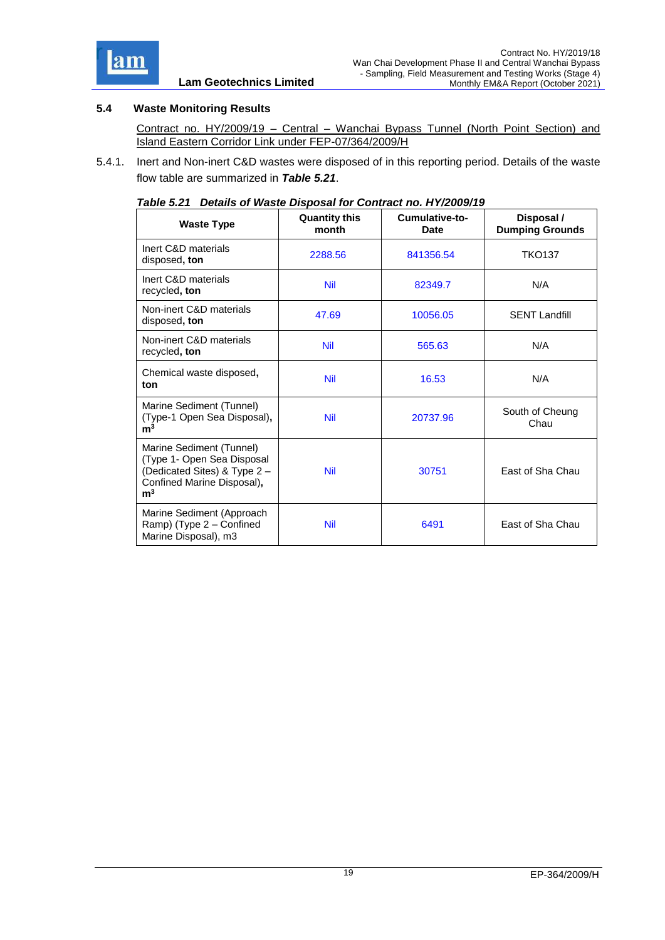

## <span id="page-30-0"></span>**5.4 Waste Monitoring Results**

Contract no. HY/2009/19 – Central – Wanchai Bypass Tunnel (North Point Section) and Island Eastern Corridor Link under FEP-07/364/2009/H

<span id="page-30-1"></span>5.4.1. Inert and Non-inert C&D wastes were disposed of in this reporting period. Details of the waste flow table are summarized in *Table 5.21*.

| <b>Waste Type</b>                                                                                                                      | <b>Quantity this</b><br>month | Cumulative-to-<br>Date | Disposal /<br><b>Dumping Grounds</b> |
|----------------------------------------------------------------------------------------------------------------------------------------|-------------------------------|------------------------|--------------------------------------|
| Inert C&D materials<br>disposed, ton                                                                                                   | 2288.56                       | 841356.54              | <b>TKO137</b>                        |
| Inert C&D materials<br>recycled, ton                                                                                                   | <b>Nil</b>                    | 82349.7                | N/A                                  |
| Non-inert C&D materials<br>disposed, ton                                                                                               | 47.69                         | 10056.05               | <b>SENT Landfill</b>                 |
| Non-inert C&D materials<br>recycled, ton                                                                                               | <b>Nil</b>                    | 565.63                 | N/A                                  |
| Chemical waste disposed,<br>ton                                                                                                        | <b>Nil</b>                    | 16.53                  | N/A                                  |
| Marine Sediment (Tunnel)<br>(Type-1 Open Sea Disposal),<br>m <sup>3</sup>                                                              | <b>Nil</b>                    | 20737.96               | South of Cheung<br>Chau              |
| Marine Sediment (Tunnel)<br>(Type 1- Open Sea Disposal<br>(Dedicated Sites) & Type 2 -<br>Confined Marine Disposal),<br>m <sup>3</sup> | <b>Nil</b>                    | 30751                  | East of Sha Chau                     |
| Marine Sediment (Approach<br>Ramp) (Type 2 - Confined<br>Marine Disposal), m3                                                          | <b>Nil</b>                    | 6491                   | East of Sha Chau                     |

#### *Table 5.21 Details of Waste Disposal for Contract no. HY/2009/19*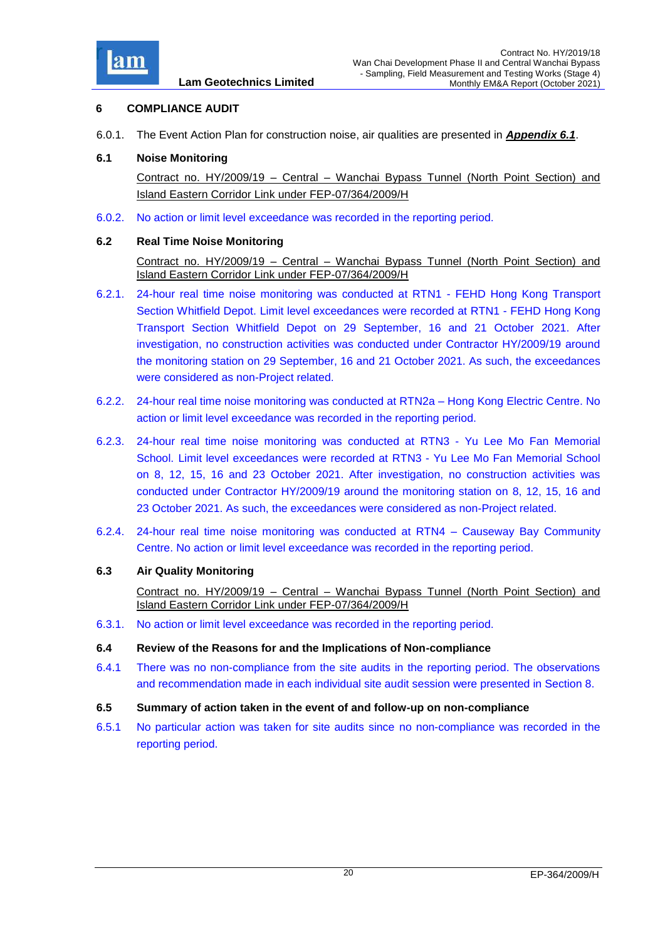

## <span id="page-31-0"></span>**6 COMPLIANCE AUDIT**

6.0.1. The Event Action Plan for construction noise, air qualities are presented in *[Appendix 6.1](file:///C:/Users/porsia/Attachment/App6.1%20Event%20and%20Action%20Plan.pdf)*.

### <span id="page-31-1"></span>**6.1 Noise Monitoring**

Contract no. HY/2009/19 – Central – Wanchai Bypass Tunnel (North Point Section) and Island Eastern Corridor Link under FEP-07/364/2009/H

6.0.2. No action or limit level exceedance was recorded in the reporting period.

#### <span id="page-31-2"></span>**6.2 Real Time Noise Monitoring**

Contract no. HY/2009/19 – Central – Wanchai Bypass Tunnel (North Point Section) and Island Eastern Corridor Link under FEP-07/364/2009/H

- 6.2.1. 24-hour real time noise monitoring was conducted at RTN1 FEHD Hong Kong Transport Section Whitfield Depot. Limit level exceedances were recorded at RTN1 - FEHD Hong Kong Transport Section Whitfield Depot on 29 September, 16 and 21 October 2021. After investigation, no construction activities was conducted under Contractor HY/2009/19 around the monitoring station on 29 September, 16 and 21 October 2021. As such, the exceedances were considered as non-Project related.
- 6.2.2. 24-hour real time noise monitoring was conducted at RTN2a Hong Kong Electric Centre. No action or limit level exceedance was recorded in the reporting period.
- 6.2.3. 24-hour real time noise monitoring was conducted at RTN3 Yu Lee Mo Fan Memorial School. Limit level exceedances were recorded at RTN3 - Yu Lee Mo Fan Memorial School on 8, 12, 15, 16 and 23 October 2021. After investigation, no construction activities was conducted under Contractor HY/2009/19 around the monitoring station on 8, 12, 15, 16 and 23 October 2021. As such, the exceedances were considered as non-Project related.
- 6.2.4. 24-hour real time noise monitoring was conducted at RTN4 Causeway Bay Community Centre. No action or limit level exceedance was recorded in the reporting period.

## <span id="page-31-3"></span>**6.3 Air Quality Monitoring**

Contract no. HY/2009/19 – Central – Wanchai Bypass Tunnel (North Point Section) and Island Eastern Corridor Link under FEP-07/364/2009/H

- 6.3.1. No action or limit level exceedance was recorded in the reporting period.
- <span id="page-31-4"></span>**6.4 Review of the Reasons for and the Implications of Non-compliance**
- 6.4.1 There was no non-compliance from the site audits in the reporting period. The observations and recommendation made in each individual site audit session were presented in Section 8.
- <span id="page-31-5"></span>**6.5 Summary of action taken in the event of and follow-up on non-compliance**
- 6.5.1 No particular action was taken for site audits since no non-compliance was recorded in the reporting period.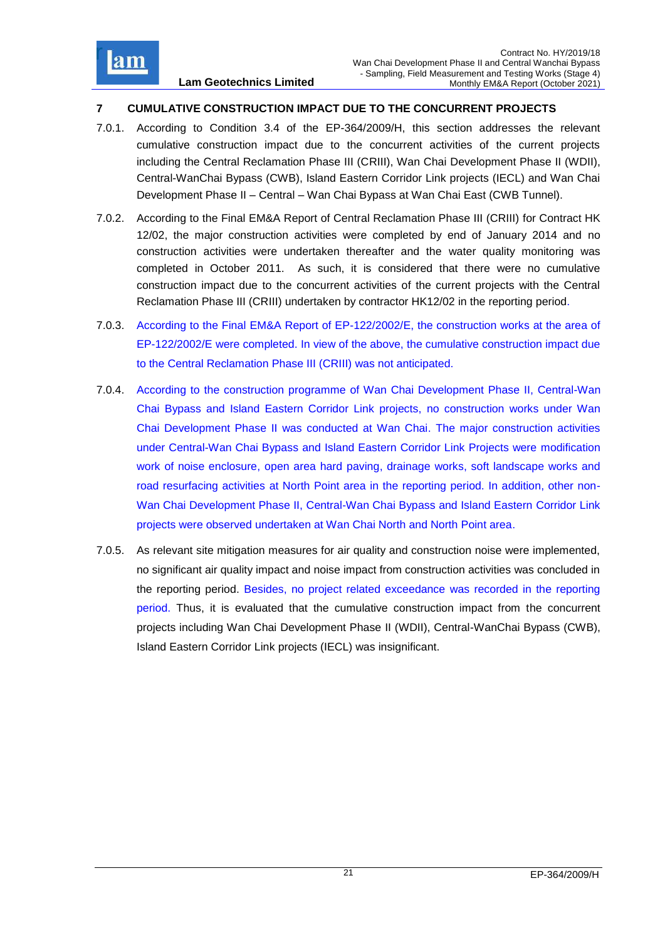

## <span id="page-32-0"></span>**7 CUMULATIVE CONSTRUCTION IMPACT DUE TO THE CONCURRENT PROJECTS**

- 7.0.1. According to Condition 3.4 of the EP-364/2009/H, this section addresses the relevant cumulative construction impact due to the concurrent activities of the current projects including the Central Reclamation Phase III (CRIII), Wan Chai Development Phase II (WDII), Central-WanChai Bypass (CWB), Island Eastern Corridor Link projects (IECL) and Wan Chai Development Phase II – Central – Wan Chai Bypass at Wan Chai East (CWB Tunnel).
- 7.0.2. According to the Final EM&A Report of Central Reclamation Phase III (CRIII) for Contract HK 12/02, the major construction activities were completed by end of January 2014 and no construction activities were undertaken thereafter and the water quality monitoring was completed in October 2011. As such, it is considered that there were no cumulative construction impact due to the concurrent activities of the current projects with the Central Reclamation Phase III (CRIII) undertaken by contractor HK12/02 in the reporting period.
- 7.0.3. According to the Final EM&A Report of EP-122/2002/E, the construction works at the area of EP-122/2002/E were completed. In view of the above, the cumulative construction impact due to the Central Reclamation Phase III (CRIII) was not anticipated.
- 7.0.4. According to the construction programme of Wan Chai Development Phase II, Central-Wan Chai Bypass and Island Eastern Corridor Link projects, no construction works under Wan Chai Development Phase II was conducted at Wan Chai. The major construction activities under Central-Wan Chai Bypass and Island Eastern Corridor Link Projects were modification work of noise enclosure, open area hard paving, drainage works, soft landscape works and road resurfacing activities at North Point area in the reporting period. In addition, other non-Wan Chai Development Phase II, Central-Wan Chai Bypass and Island Eastern Corridor Link projects were observed undertaken at Wan Chai North and North Point area.
- 7.0.5. As relevant site mitigation measures for air quality and construction noise were implemented, no significant air quality impact and noise impact from construction activities was concluded in the reporting period. Besides, no project related exceedance was recorded in the reporting period. Thus, it is evaluated that the cumulative construction impact from the concurrent projects including Wan Chai Development Phase II (WDII), Central-WanChai Bypass (CWB), Island Eastern Corridor Link projects (IECL) was insignificant.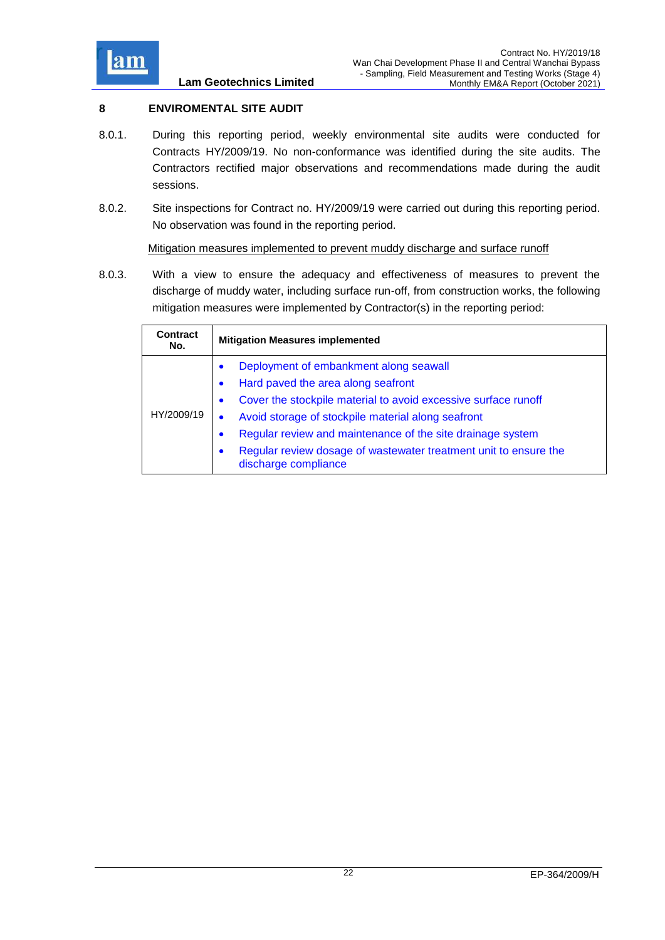

## <span id="page-33-0"></span>**8 ENVIROMENTAL SITE AUDIT**

- 8.0.1. During this reporting period, weekly environmental site audits were conducted for Contracts HY/2009/19. No non-conformance was identified during the site audits. The Contractors rectified major observations and recommendations made during the audit sessions.
- 8.0.2. Site inspections for Contract no. HY/2009/19 were carried out during this reporting period. No observation was found in the reporting period.

<span id="page-33-1"></span>Mitigation measures implemented to prevent muddy discharge and surface runoff

8.0.3. With a view to ensure the adequacy and effectiveness of measures to prevent the discharge of muddy water, including surface run-off, from construction works, the following mitigation measures were implemented by Contractor(s) in the reporting period:

| Contract<br>No. | <b>Mitigation Measures implemented</b>                                                                                                                                                                                                                                                                                                                                                                                          |
|-----------------|---------------------------------------------------------------------------------------------------------------------------------------------------------------------------------------------------------------------------------------------------------------------------------------------------------------------------------------------------------------------------------------------------------------------------------|
| HY/2009/19      | Deployment of embankment along seawall<br>$\bullet$<br>Hard paved the area along seafront<br>$\bullet$<br>Cover the stockpile material to avoid excessive surface runoff<br>$\bullet$<br>Avoid storage of stockpile material along seafront<br>Regular review and maintenance of the site drainage system<br>$\bullet$<br>Regular review dosage of wastewater treatment unit to ensure the<br>$\bullet$<br>discharge compliance |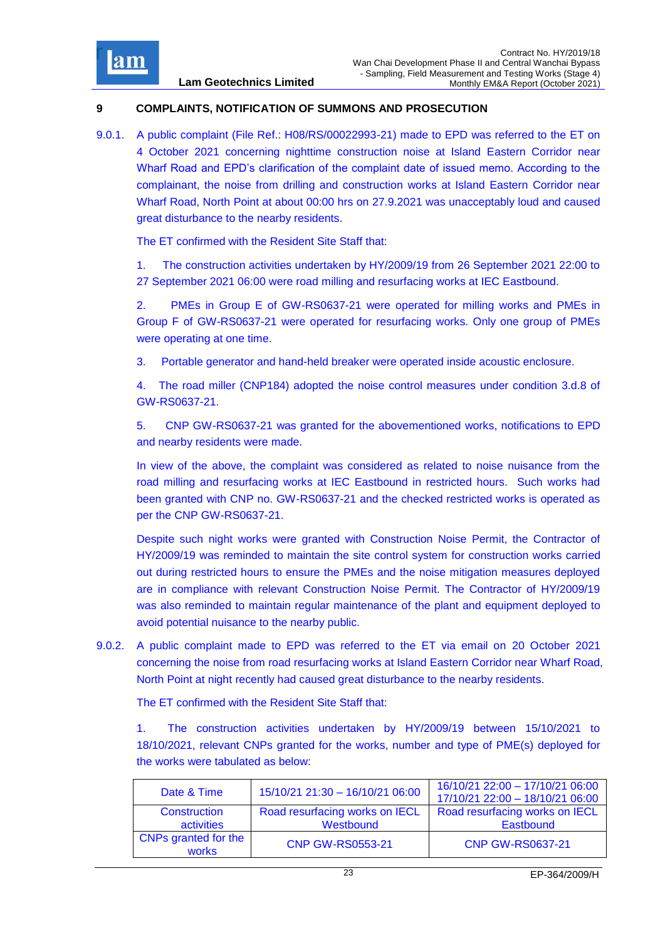

## <span id="page-34-0"></span>**9 COMPLAINTS, NOTIFICATION OF SUMMONS AND PROSECUTION**

9.0.1. A public complaint (File Ref.: H08/RS/00022993-21) made to EPD was referred to the ET on 4 October 2021 concerning nighttime construction noise at Island Eastern Corridor near Wharf Road and EPD's clarification of the complaint date of issued memo. According to the complainant, the noise from drilling and construction works at Island Eastern Corridor near Wharf Road, North Point at about 00:00 hrs on 27.9.2021 was unacceptably loud and caused great disturbance to the nearby residents.

The ET confirmed with the Resident Site Staff that:

1. The construction activities undertaken by HY/2009/19 from 26 September 2021 22:00 to 27 September 2021 06:00 were road milling and resurfacing works at IEC Eastbound.

2. PMEs in Group E of GW-RS0637-21 were operated for milling works and PMEs in Group F of GW-RS0637-21 were operated for resurfacing works. Only one group of PMEs were operating at one time.

3. Portable generator and hand-held breaker were operated inside acoustic enclosure.

4. The road miller (CNP184) adopted the noise control measures under condition 3.d.8 of GW-RS0637-21.

5. CNP GW-RS0637-21 was granted for the abovementioned works, notifications to EPD and nearby residents were made.

In view of the above, the complaint was considered as related to noise nuisance from the road milling and resurfacing works at IEC Eastbound in restricted hours. Such works had been granted with CNP no. GW-RS0637-21 and the checked restricted works is operated as per the CNP GW-RS0637-21.

Despite such night works were granted with Construction Noise Permit, the Contractor of HY/2009/19 was reminded to maintain the site control system for construction works carried out during restricted hours to ensure the PMEs and the noise mitigation measures deployed are in compliance with relevant Construction Noise Permit. The Contractor of HY/2009/19 was also reminded to maintain regular maintenance of the plant and equipment deployed to avoid potential nuisance to the nearby public.

9.0.2. A public complaint made to EPD was referred to the ET via email on 20 October 2021 concerning the noise from road resurfacing works at Island Eastern Corridor near Wharf Road, North Point at night recently had caused great disturbance to the nearby residents.

The ET confirmed with the Resident Site Staff that:

1. The construction activities undertaken by HY/2009/19 between 15/10/2021 to 18/10/2021, relevant CNPs granted for the works, number and type of PME(s) deployed for the works were tabulated as below:

| Date & Time                          | 15/10/21 21:30 - 16/10/21 06:00             | 16/10/21 22:00 - 17/10/21 06:00<br>17/10/21 22:00 - 18/10/21 06:00 |
|--------------------------------------|---------------------------------------------|--------------------------------------------------------------------|
| Construction<br>activities           | Road resurfacing works on IECL<br>Westbound | Road resurfacing works on IECL<br>Eastbound                        |
| CNPs granted for the<br><b>works</b> | <b>CNP GW-RS0553-21</b>                     | <b>CNP GW-RS0637-21</b>                                            |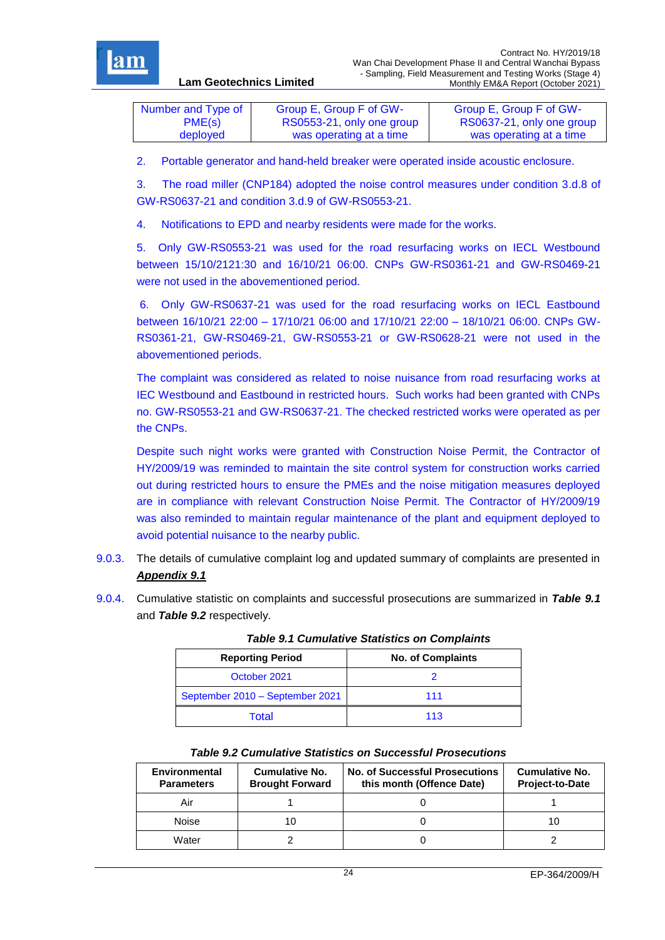

| Number and Type of | Group E, Group F of GW-   | Group E, Group F of GW-   |
|--------------------|---------------------------|---------------------------|
| PME(s)             | RS0553-21, only one group | RS0637-21, only one group |
| deployed           | was operating at a time   | was operating at a time   |

2. Portable generator and hand-held breaker were operated inside acoustic enclosure.

3. The road miller (CNP184) adopted the noise control measures under condition 3.d.8 of GW-RS0637-21 and condition 3.d.9 of GW-RS0553-21.

4. Notifications to EPD and nearby residents were made for the works.

**Lam Geotechnics Limited**

5. Only GW-RS0553-21 was used for the road resurfacing works on IECL Westbound between 15/10/2121:30 and 16/10/21 06:00. CNPs GW-RS0361-21 and GW-RS0469-21 were not used in the abovementioned period.

6. Only GW-RS0637-21 was used for the road resurfacing works on IECL Eastbound between 16/10/21 22:00 – 17/10/21 06:00 and 17/10/21 22:00 – 18/10/21 06:00. CNPs GW-RS0361-21, GW-RS0469-21, GW-RS0553-21 or GW-RS0628-21 were not used in the abovementioned periods.

The complaint was considered as related to noise nuisance from road resurfacing works at IEC Westbound and Eastbound in restricted hours. Such works had been granted with CNPs no. GW-RS0553-21 and GW-RS0637-21. The checked restricted works were operated as per the CNPs.

Despite such night works were granted with Construction Noise Permit, the Contractor of HY/2009/19 was reminded to maintain the site control system for construction works carried out during restricted hours to ensure the PMEs and the noise mitigation measures deployed are in compliance with relevant Construction Noise Permit. The Contractor of HY/2009/19 was also reminded to maintain regular maintenance of the plant and equipment deployed to avoid potential nuisance to the nearby public.

- 9.0.3. The details of cumulative complaint log and updated summary of complaints are presented in *[Appendix 9.1](file:///C:/Users/porsia/Attachment/App9.1%20Complaint%20Log.pdf)*
- <span id="page-35-0"></span>9.0.4. Cumulative statistic on complaints and successful prosecutions are summarized in *Table 9.1* and *Table 9.2* respectively.

| .                               |                          |  |
|---------------------------------|--------------------------|--|
| <b>Reporting Period</b>         | <b>No. of Complaints</b> |  |
| October 2021                    |                          |  |
| September 2010 - September 2021 | 111                      |  |
| Total                           | 113                      |  |

*Table 9.1 Cumulative Statistics on Complaints*

<span id="page-35-1"></span>

| <b>Environmental</b><br><b>Parameters</b> | Cumulative No.<br><b>Brought Forward</b> | <b>No. of Successful Prosecutions</b><br>this month (Offence Date) | Cumulative No.<br><b>Project-to-Date</b> |
|-------------------------------------------|------------------------------------------|--------------------------------------------------------------------|------------------------------------------|
| Air                                       |                                          |                                                                    |                                          |
| Noise                                     | 10                                       |                                                                    | 10                                       |
| Water                                     |                                          |                                                                    |                                          |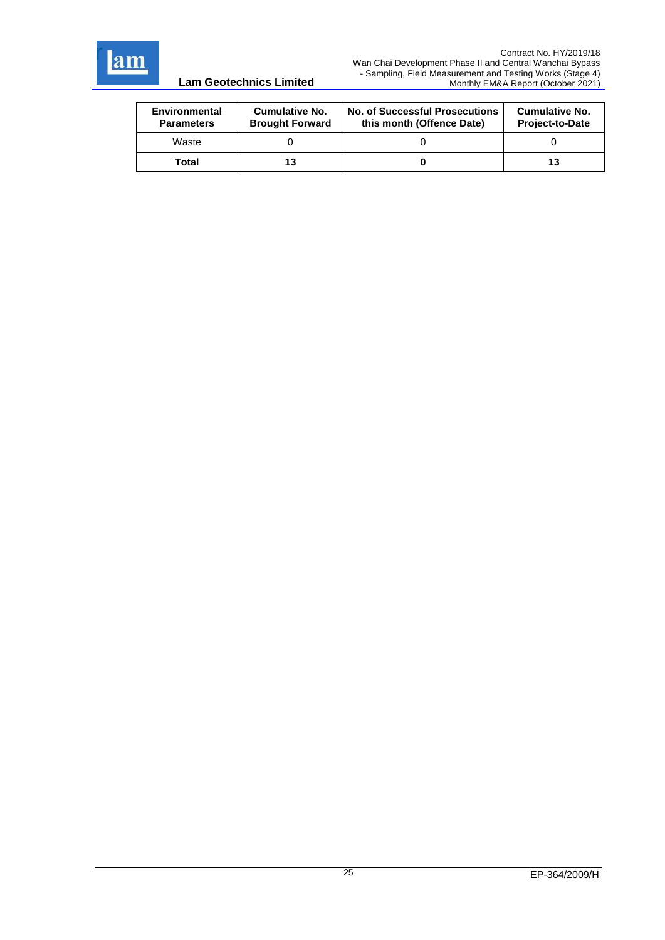

| Environmental<br><b>Parameters</b> | Cumulative No.<br><b>Brought Forward</b> | <b>No. of Successful Prosecutions</b><br>this month (Offence Date) | <b>Cumulative No.</b><br><b>Project-to-Date</b> |
|------------------------------------|------------------------------------------|--------------------------------------------------------------------|-------------------------------------------------|
| Waste                              |                                          |                                                                    |                                                 |
| Total                              |                                          |                                                                    | 13                                              |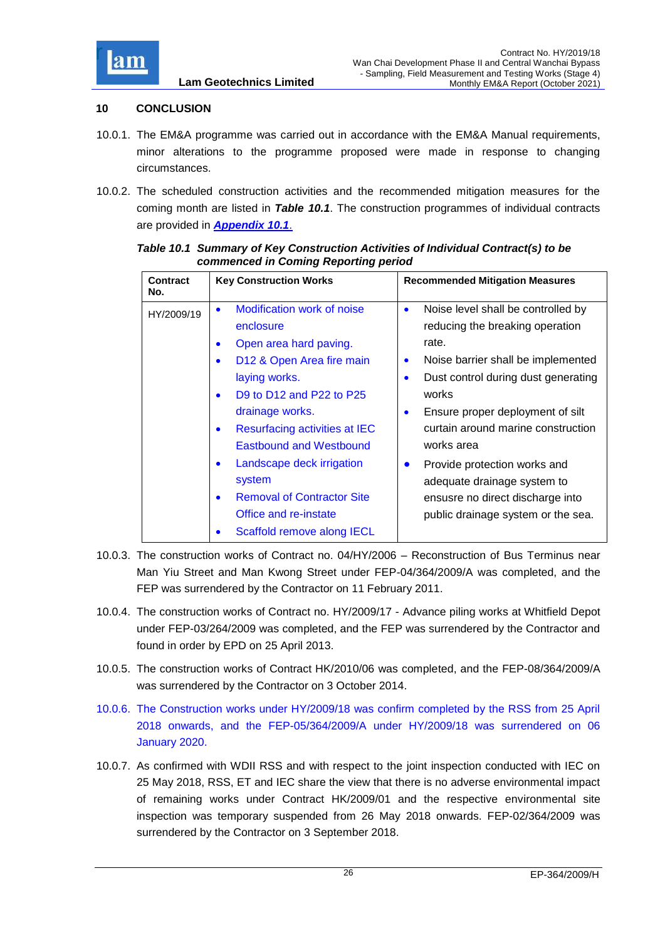

## <span id="page-37-0"></span>**10 CONCLUSION**

- 10.0.1. The EM&A programme was carried out in accordance with the EM&A Manual requirements, minor alterations to the programme proposed were made in response to changing circumstances.
- 10.0.2. The scheduled construction activities and the recommended mitigation measures for the coming month are listed in *Table 10.1*. The construction programmes of individual contracts are provided in *[Appendix 10.1](file:///C:/Users/porsia/Attachment/App10.1%20Construction%20Programme.pdf)*.

| <b>Contract</b><br>No. | <b>Key Construction Works</b>                                                                                                                                                             | <b>Recommended Mitigation Measures</b>                                                                                                                                                                      |
|------------------------|-------------------------------------------------------------------------------------------------------------------------------------------------------------------------------------------|-------------------------------------------------------------------------------------------------------------------------------------------------------------------------------------------------------------|
| HY/2009/19             | <b>Modification work of noise</b><br>enclosure<br>Open area hard paving.<br>$\bullet$<br>D12 & Open Area fire main<br>$\bullet$<br>laying works.<br>D9 to D12 and P22 to P25<br>$\bullet$ | Noise level shall be controlled by<br>$\bullet$<br>reducing the breaking operation<br>rate.<br>Noise barrier shall be implemented<br>$\bullet$<br>Dust control during dust generating<br>$\bullet$<br>works |
|                        | drainage works.<br>Resurfacing activities at IEC<br>$\bullet$<br><b>Eastbound and Westbound</b>                                                                                           | Ensure proper deployment of silt<br>$\bullet$<br>curtain around marine construction<br>works area                                                                                                           |
|                        | Landscape deck irrigation<br>$\bullet$<br>system<br><b>Removal of Contractor Site</b><br>$\bullet$<br>Office and re-instate                                                               | Provide protection works and<br>$\bullet$<br>adequate drainage system to<br>ensusre no direct discharge into<br>public drainage system or the sea.                                                          |
|                        | Scaffold remove along IECL                                                                                                                                                                |                                                                                                                                                                                                             |

<span id="page-37-1"></span>*Table 10.1 Summary of Key Construction Activities of Individual Contract(s) to be commenced in Coming Reporting period*

- 10.0.3. The construction works of Contract no. 04/HY/2006 Reconstruction of Bus Terminus near Man Yiu Street and Man Kwong Street under FEP-04/364/2009/A was completed, and the FEP was surrendered by the Contractor on 11 February 2011.
- 10.0.4. The construction works of Contract no. HY/2009/17 Advance piling works at Whitfield Depot under FEP-03/264/2009 was completed, and the FEP was surrendered by the Contractor and found in order by EPD on 25 April 2013.
- 10.0.5. The construction works of Contract HK/2010/06 was completed, and the FEP-08/364/2009/A was surrendered by the Contractor on 3 October 2014.
- 10.0.6. The Construction works under HY/2009/18 was confirm completed by the RSS from 25 April 2018 onwards, and the FEP-05/364/2009/A under HY/2009/18 was surrendered on 06 January 2020.
- 10.0.7. As confirmed with WDII RSS and with respect to the joint inspection conducted with IEC on 25 May 2018, RSS, ET and IEC share the view that there is no adverse environmental impact of remaining works under Contract HK/2009/01 and the respective environmental site inspection was temporary suspended from 26 May 2018 onwards. FEP-02/364/2009 was surrendered by the Contractor on 3 September 2018.